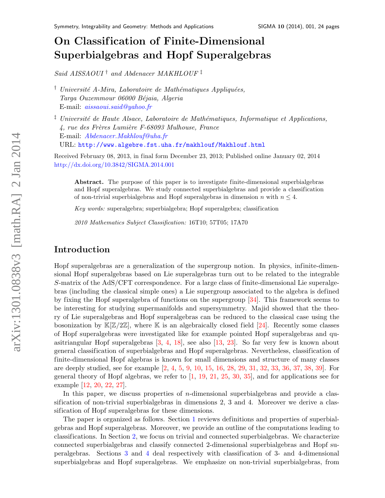# On Classif ication of Finite-Dimensional Superbialgebras and Hopf Superalgebras

Said AISSAOUI<sup>†</sup> and Abdenacer MAKHLOUF<sup> $\ddagger$ </sup>

<sup>†</sup> Université A-Mira, Laboratoire de Mathématiques Appliquées, Targa Ouzemmour 06000 Béjaia, Algeria E-mail: [aissaoui.said@yahoo.fr](mailto:aissaoui.said@yahoo.fr)

<sup> $\ddagger$ </sup> Université de Haute Alsace, Laboratoire de Mathématiques, Informatique et Applications,  $4$ , rue des Frères Lumière F-68093 Mulhouse, France E-mail: [Abdenacer.Makhlouf@uha.fr](mailto:Abdenacer.Makhlouf@uha.fr) URL: <http://www.algebre.fst.uha.fr/makhlouf/Makhlouf.html>

Received February 08, 2013, in final form December 23, 2013; Published online January 02, 2014 <http://dx.doi.org/10.3842/SIGMA.2014.001>

Abstract. The purpose of this paper is to investigate finite-dimensional superbialgebras and Hopf superalgebras. We study connected superbialgebras and provide a classification of non-trivial superbialgebras and Hopf superalgebras in dimension n with  $n \leq 4$ .

Key words: superalgebra; superbialgebra; Hopf superalgebra; classification

2010 Mathematics Subject Classification: 16T10; 57T05; 17A70

## Introduction

Hopf superalgebras are a generalization of the supergroup notion. In physics, infinite-dimensional Hopf superalgebras based on Lie superalgebras turn out to be related to the integrable S-matrix of the AdS/CFT correspondence. For a large class of finite-dimensional Lie superalgebras (including the classical simple ones) a Lie supergroup associated to the algebra is defined by fixing the Hopf superalgebra of functions on the supergroup [\[34\]](#page-23-0). This framework seems to be interesting for studying supermanifolds and supersymmetry. Majid showed that the theory of Lie superalgebras and Hopf superalgebras can be reduced to the classical case using the bosonization by  $\mathbb{K}[\mathbb{Z}/2\mathbb{Z}]$ , where  $\mathbb K$  is an algebraically closed field [\[24\]](#page-22-0). Recently some classes of Hopf superalgebras were investigated like for example pointed Hopf superalgebras and quasitriangular Hopf superalgebras [\[3,](#page-22-1) [4,](#page-22-2) [18\]](#page-22-3), see also [\[13,](#page-22-4) [23\]](#page-22-5). So far very few is known about general classification of superbialgebras and Hopf superalgebras. Nevertheless, classification of finite-dimensional Hopf algebras is known for small dimensions and structure of many classes are deeply studied, see for example [\[2,](#page-22-6) [4,](#page-22-2) [5,](#page-22-7) [9,](#page-22-8) [10,](#page-22-9) [15,](#page-22-10) [16,](#page-22-11) [28,](#page-23-1) [29,](#page-23-2) [31,](#page-23-3) [32,](#page-23-4) [33,](#page-23-5) [36,](#page-23-6) [37,](#page-23-7) [38,](#page-23-8) [39\]](#page-23-9). For general theory of Hopf algebras, we refer to  $\left[1, 19, 21, 25, 30, 35\right]$  $\left[1, 19, 21, 25, 30, 35\right]$  $\left[1, 19, 21, 25, 30, 35\right]$  $\left[1, 19, 21, 25, 30, 35\right]$  $\left[1, 19, 21, 25, 30, 35\right]$  $\left[1, 19, 21, 25, 30, 35\right]$  $\left[1, 19, 21, 25, 30, 35\right]$  $\left[1, 19, 21, 25, 30, 35\right]$  $\left[1, 19, 21, 25, 30, 35\right]$  $\left[1, 19, 21, 25, 30, 35\right]$  $\left[1, 19, 21, 25, 30, 35\right]$ , and for applications see for example [\[12,](#page-22-15) [20,](#page-22-16) [22,](#page-22-17) [27\]](#page-23-13).

In this paper, we discuss properties of *n*-dimensional superbialgebras and provide a classification of non-trivial superbialgebras in dimensions 2, 3 and 4. Moreover we derive a classification of Hopf superalgebras for these dimensions.

The paper is organized as follows. Section [1](#page-1-0) reviews definitions and properties of superbialgebras and Hopf superalgebras. Moreover, we provide an outline of the computations leading to classifications. In Section [2,](#page-4-0) we focus on trivial and connected superbialgebras. We characterize connected superbialgebras and classify connected 2-dimensional superbialgebras and Hopf superalgebras. Sections [3](#page-5-0) and [4](#page-8-0) deal respectively with classification of 3- and 4-dimensional superbialgebras and Hopf superalgebras. We emphasize on non-trivial superbialgebras, from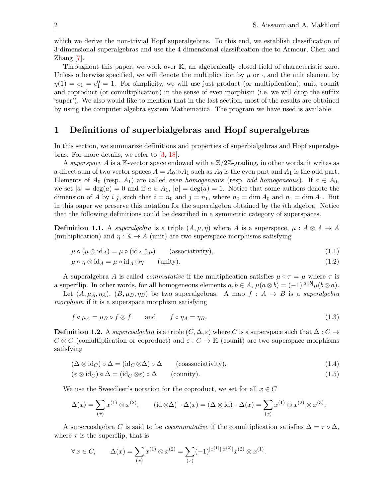which we derive the non-trivial Hopf superalgebras. To this end, we establish classification of 3-dimensional superalgebras and use the 4-dimensional classification due to Armour, Chen and  $\text{Zhang}$  [\[7\]](#page-22-18).

Throughout this paper, we work over K, an algebraically closed field of characteristic zero. Unless otherwise specified, we will denote the multiplication by  $\mu$  or  $\cdot$ , and the unit element by  $\eta(1) = e_1 = e_1^0 = 1$ . For simplicity, we will use just product (or multiplication), unit, counit and coproduct (or comultiplication) in the sense of even morphism (i.e. we will drop the suffix 'super'). We also would like to mention that in the last section, most of the results are obtained by using the computer algebra system Mathematica. The program we have used is available.

## <span id="page-1-0"></span>1 Definitions of superbialgebras and Hopf superalgebras

In this section, we summarize definitions and properties of superbialgebras and Hopf superalgebras. For more details, we refer to [\[3,](#page-22-1) [18\]](#page-22-3).

A superspace A is a K-vector space endowed with a  $\mathbb{Z}/2\mathbb{Z}$ -grading, in other words, it writes as a direct sum of two vector spaces  $A = A_0 \oplus A_1$  such as  $A_0$  is the even part and  $A_1$  is the odd part. Elements of  $A_0$  (resp.  $A_1$ ) are called *even homogeneous* (resp. *odd homogeneous*). If  $a \in A_0$ , we set  $|a| = \deg(a) = 0$  and if  $a \in A_1$ ,  $|a| = \deg(a) = 1$ . Notice that some authors denote the dimension of A by i|j, such that  $i = n_0$  and  $j = n_1$ , where  $n_0 = \dim A_0$  and  $n_1 = \dim A_1$ . But in this paper we preserve this notation for the superalgebra obtained by the ith algebra. Notice that the following definitions could be described in a symmetric category of superspaces.

**Definition 1.1.** A superalgebra is a triple  $(A, \mu, \eta)$  where A is a superspace,  $\mu : A \otimes A \rightarrow A$ (multiplication) and  $\eta : \mathbb{K} \to A$  (unit) are two superspace morphisms satisfying

<span id="page-1-4"></span>
$$
\mu \circ (\mu \otimes id_A) = \mu \circ (id_A \otimes \mu) \qquad \text{(associativity)},\tag{1.1}
$$

<span id="page-1-5"></span>
$$
\mu \circ \eta \otimes id_A = \mu \circ id_A \otimes \eta \qquad \text{(unity)}.\tag{1.2}
$$

A superalgebra A is called *commutative* if the multiplication satisfies  $\mu \circ \tau = \mu$  where  $\tau$  is a superflip. In other words, for all homogeneous elements  $a, b \in A$ ,  $\mu(a \otimes b) = (-1)^{|a||b|} \mu(b \otimes a)$ .

Let  $(A, \mu_A, \eta_A)$ ,  $(B, \mu_B, \eta_B)$  be two superalgebras. A map  $f : A \rightarrow B$  is a superalgebra morphism if it is a superspace morphism satisfying

<span id="page-1-3"></span>
$$
f \circ \mu_A = \mu_B \circ f \otimes f \qquad \text{and} \qquad f \circ \eta_A = \eta_B. \tag{1.3}
$$

**Definition 1.2.** A supercoalgebra is a triple  $(C, \Delta, \varepsilon)$  where C is a superspace such that  $\Delta: C \to$  $C \otimes C$  (comultiplication or coproduct) and  $\varepsilon : C \to \mathbb{K}$  (counit) are two superspace morphisms satisfying

<span id="page-1-1"></span>
$$
(\Delta \otimes id_C) \circ \Delta = (id_C \otimes \Delta) \circ \Delta \qquad \text{(coassociativity)},\tag{1.4}
$$

<span id="page-1-2"></span>
$$
(\varepsilon \otimes id_C) \circ \Delta = (id_C \otimes \varepsilon) \circ \Delta \qquad \text{(county)}.
$$
\n
$$
(1.5)
$$

We use the Sweedleer's notation for the coproduct, we set for all  $x \in C$ 

$$
\Delta(x) = \sum_{(x)} x^{(1)} \otimes x^{(2)}, \qquad (\text{id} \otimes \Delta) \circ \Delta(x) = (\Delta \otimes \text{id}) \circ \Delta(x) = \sum_{(x)} x^{(1)} \otimes x^{(2)} \otimes x^{(3)}.
$$

A supercoalgebra C is said to be *cocommutative* if the comultiplication satisfies  $\Delta = \tau \circ \Delta$ , where  $\tau$  is the superflip, that is

$$
\forall x \in C, \qquad \Delta(x) = \sum_{(x)} x^{(1)} \otimes x^{(2)} = \sum_{(x)} (-1)^{|x^{(1)}||x^{(2)}|} x^{(2)} \otimes x^{(1)}.
$$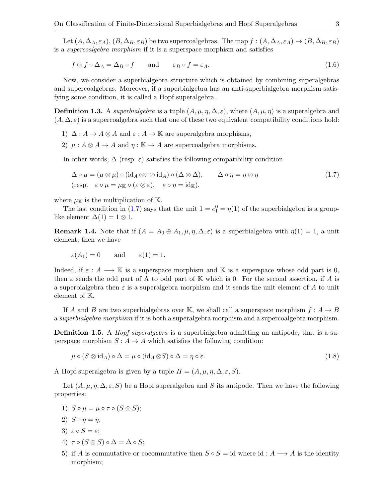Let  $(A, \Delta_A, \varepsilon_A), (B, \Delta_B, \varepsilon_B)$  be two supercoalgebras. The map  $f : (A, \Delta_A, \varepsilon_A) \to (B, \Delta_B, \varepsilon_B)$ is a supercoalgebra morphism if it is a superspace morphism and satisfies

<span id="page-2-1"></span>
$$
f \otimes f \circ \Delta_A = \Delta_B \circ f \qquad \text{and} \qquad \varepsilon_B \circ f = \varepsilon_A. \tag{1.6}
$$

Now, we consider a superbialgebra structure which is obtained by combining superalgebras and supercoalgebras. Moreover, if a superbialgebra has an anti-superbialgebra morphism satisfying some condition, it is called a Hopf superalgebra.

**Definition 1.3.** A superbialgebra is a tuple  $(A, \mu, \eta, \Delta, \varepsilon)$ , where  $(A, \mu, \eta)$  is a superalgebra and  $(A, \Delta, \varepsilon)$  is a supercoalgebra such that one of these two equivalent compatibility conditions hold:

- 1)  $\Delta: A \to A \otimes A$  and  $\varepsilon: A \to \mathbb{K}$  are superalgebra morphisms,
- 2)  $\mu: A \otimes A \rightarrow A$  and  $\eta: \mathbb{K} \rightarrow A$  are supercoalgebra morphisms.

In other words,  $\Delta$  (resp.  $\varepsilon$ ) satisfies the following compatibility condition

<span id="page-2-0"></span>
$$
\Delta \circ \mu = (\mu \otimes \mu) \circ (\mathrm{id}_A \otimes \tau \otimes \mathrm{id}_A) \circ (\Delta \otimes \Delta), \qquad \Delta \circ \eta = \eta \otimes \eta \tag{1.7}
$$
  
(resp.  $\varepsilon \circ \mu = \mu_{\mathbb{K}} \circ (\varepsilon \otimes \varepsilon), \quad \varepsilon \circ \eta = \mathrm{id}_{\mathbb{K}}),$ 

where  $\mu_{\mathbb{K}}$  is the multiplication of  $\mathbb{K}$ .

The last condition in [\(1.7\)](#page-2-0) says that the unit  $1 = e_1^0 = \eta(1)$  of the superbialgebra is a grouplike element  $\Delta(1) = 1 \otimes 1$ .

**Remark 1.4.** Note that if  $(A = A_0 \oplus A_1, \mu, \eta, \Delta, \varepsilon)$  is a superbialgebra with  $\eta(1) = 1$ , a unit element, then we have

$$
\varepsilon(A_1) = 0
$$
 and  $\varepsilon(1) = 1$ .

Indeed, if  $\varepsilon : A \longrightarrow \mathbb{K}$  is a superspace morphism and K is a superspace whose odd part is 0, then  $\varepsilon$  sends the odd part of A to odd part of K which is 0. For the second assertion, if A is a superbialgebra then  $\varepsilon$  is a superalgebra morphism and it sends the unit element of A to unit element of K.

If A and B are two superbialgebras over K, we shall call a superspace morphism  $f : A \rightarrow B$ a superbialgebra morphism if it is both a superalgebra morphism and a supercoalgebra morphism.

**Definition 1.5.** A *Hopf superalgebra* is a superbialgebra admitting an antipode, that is a superspace morphism  $S: A \to A$  which satisfies the following condition:

<span id="page-2-2"></span>
$$
\mu \circ (S \otimes id_A) \circ \Delta = \mu \circ (id_A \otimes S) \circ \Delta = \eta \circ \varepsilon. \tag{1.8}
$$

A Hopf superalgebra is given by a tuple  $H = (A, \mu, \eta, \Delta, \varepsilon, S)$ .

Let  $(A, \mu, \eta, \Delta, \varepsilon, S)$  be a Hopf superalgebra and S its antipode. Then we have the following properties:

- 1)  $S \circ \mu = \mu \circ \tau \circ (S \otimes S)$ ;
- 2)  $S \circ \eta = \eta$ ;
- 3)  $\varepsilon \circ S = \varepsilon$ ;
- 4)  $\tau \circ (S \otimes S) \circ \Delta = \Delta \circ S;$
- 5) if A is commutative or cocommutative then  $S \circ S = id$  where id :  $A \longrightarrow A$  is the identity morphism;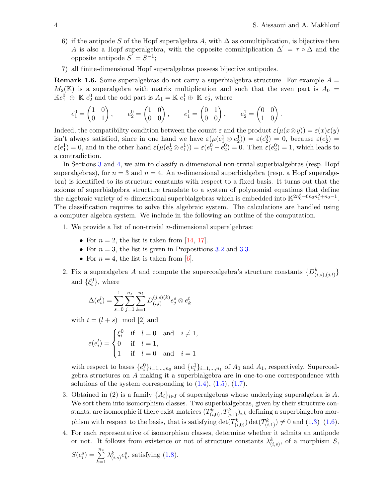- 6) if the antipode S of the Hopf superalgebra A, with  $\Delta$  as comultiplication, is bijective then A is also a Hopf superalgebra, with the opposite comultiplication  $\Delta' = \tau \circ \Delta$  and the opposite antipode  $S^{\tilde{}} = S^{-1}$ ;
- 7) all finite-dimensional Hopf superalgebras possess bijective antipodes.

**Remark 1.6.** Some superalgebras do not carry a superbialgebra structure. For example  $A =$  $M_2(\mathbb{K})$  is a superalgebra with matrix multiplication and such that the even part is  $A_0 =$  $\mathbb{K}e_1^0 \oplus \mathbb{K}e_2^0$  and the odd part is  $A_1 = \mathbb{K}e_1^1 \oplus \mathbb{K}e_2^1$ , where

$$
e_1^0 = \begin{pmatrix} 1 & 0 \\ 0 & 1 \end{pmatrix}, \qquad e_2^0 = \begin{pmatrix} 1 & 0 \\ 0 & 0 \end{pmatrix}, \qquad e_1^1 = \begin{pmatrix} 0 & 1 \\ 0 & 0 \end{pmatrix}, \qquad e_2^1 = \begin{pmatrix} 0 & 0 \\ 1 & 0 \end{pmatrix}.
$$

Indeed, the compatibility condition between the counit  $\varepsilon$  and the product  $\varepsilon(\mu(x\otimes y)) = \varepsilon(x)\varepsilon(y)$ isn't always satisfied, since in one hand we have  $\varepsilon(\mu(e_1^1 \otimes e_2^1)) = \varepsilon(e_2^0) = 0$ , because  $\varepsilon(e_2^1) =$  $\varepsilon(e_1^1) = 0$ , and in the other hand  $\varepsilon(\mu(e_2^1 \otimes e_1^1)) = \varepsilon(e_1^0 - e_2^0) = 0$ . Then  $\varepsilon(e_2^0) = 1$ , which leads to a contradiction.

In Sections [3](#page-5-0) and [4,](#page-8-0) we aim to classify *n*-dimensional non-trivial superbialgebras (resp. Hopf superalgebras), for  $n = 3$  and  $n = 4$ . An *n*-dimensional superbialgebra (resp. a Hopf superalgebra) is identified to its structure constants with respect to a fixed basis. It turns out that the axioms of superbialgebra structure translate to a system of polynomial equations that define the algebraic variety of *n*-dimensional superbialgebras which is embedded into  $\mathbb{K}^{2n_0^3 + 6n_0n_1^2 + n_0 - 1}$ . The classification requires to solve this algebraic system. The calculations are handled using a computer algebra system. We include in the following an outline of the computation.

- 1. We provide a list of non-trivial *n*-dimensional superalgebras:
	- For  $n = 2$ , the list is taken from [\[14,](#page-22-19) [17\]](#page-22-20).
	- For  $n = 3$ , the list is given in Propositions [3.2](#page-6-0) and [3.3.](#page-6-1)
	- For  $n = 4$ , the list is taken from [\[6\]](#page-22-21).
- 2. Fix a superalgebra A and compute the supercoalgebra's structure constants  $\{D_{(i,s),(j,t)}^k\}$ and  $\{\xi_i^0\}$ , where

$$
\Delta(e_i^l) = \sum_{s=0}^l \sum_{j=1}^{n_s} \sum_{k=1}^{n_t} D_{(i,l)}^{(j,s)(k)} e_j^s \otimes e_k^t
$$

with  $t = (l + s) \mod [2]$  and

$$
\varepsilon(e_i^l) = \begin{cases} \xi_i^0 & \text{if} \quad l = 0 \quad \text{and} \quad i \neq 1, \\ 0 & \text{if} \quad l = 1, \\ 1 & \text{if} \quad l = 0 \quad \text{and} \quad i = 1 \end{cases}
$$

with respect to bases  $\{e_i^0\}_{i=1,\dots,n_0}$  and  $\{e_i^1\}_{i=1,\dots,n_1}$  of  $A_0$  and  $A_1$ , respectively. Supercoalgebra structures on A making it a superbialgebra are in one-to-one correspondence with solutions of the system corresponding to  $(1.4)$ ,  $(1.5)$ ,  $(1.7)$ .

- 3. Obtained in (2) is a family  $\{A_i\}_{i\in I}$  of superalgebras whose underlying superalgebra is A. We sort them into isomorphism classes. Two superbialgebras, given by their structure constants, are isomorphic if there exist matrices  $(T_{(i,0)}^k, T_{(i,1)}^k)_{i,k}$  defining a superbialgebra morphism with respect to the basis, that is satisfying  $\det(T_{(i,0)}^k) \det(T_{(i,1)}^k) \neq 0$  and  $(1.3)$ – $(1.6)$ .
- 4. For each representative of isomorphism classes, determine whether it admits an antipode or not. It follows from existence or not of structure constants  $\lambda^k_{(i,s)}$ , of a morphism S,

$$
S(e_i^s) = \sum_{k=1}^{n_s} \lambda_{(i,s)}^k e_k^s
$$
, satisfying (1.8).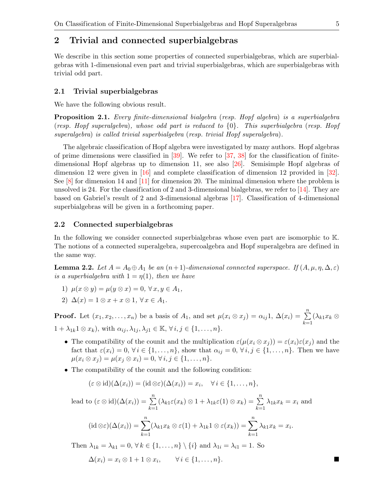### <span id="page-4-0"></span>2 Trivial and connected superbialgebras

We describe in this section some properties of connected superbialgebras, which are superbialgebras with 1-dimensional even part and trivial superbialgebras, which are superbialgebras with trivial odd part.

#### 2.1 Trivial superbialgebras

We have the following obvious result.

Proposition 2.1. Every finite-dimensional bialgebra (resp. Hopf algebra) is a superbialgebra (resp. Hopf superalgebra), whose odd part is reduced to  $\{0\}$ . This superbialgebra (resp. Hopf superalgebra) is called trivial superbialgebra (resp. trivial Hopf superalgebra).

The algebraic classification of Hopf algebra were investigated by many authors. Hopf algebras of prime dimensions were classified in  $[39]$ . We refer to  $[37, 38]$  $[37, 38]$  $[37, 38]$  for the classification of finitedimensional Hopf algebras up to dimension 11, see also [\[26\]](#page-23-14). Semisimple Hopf algebras of dimension 12 were given in [\[16\]](#page-22-11) and complete classification of dimension 12 provided in [\[32\]](#page-23-4). See  $[8]$  for dimension 14 and  $[11]$  for dimension 20. The minimal dimension where the problem is unsolved is 24. For the classification of 2 and 3-dimensional bialgebras, we refer to  $[14]$ . They are based on Gabriel's result of 2 and 3-dimensional algebras [\[17\]](#page-22-20). Classification of 4-dimensional superbialgebras will be given in a forthcoming paper.

#### 2.2 Connected superbialgebras

In the following we consider connected superbialgebras whose even part are isomorphic to K. The notions of a connected superalgebra, supercoalgebra and Hopf superalgebra are defined in the same way.

<span id="page-4-1"></span>**Lemma 2.2.** Let  $A = A_0 \oplus A_1$  be an  $(n+1)$ -dimensional connected superspace. If  $(A, \mu, \eta, \Delta, \varepsilon)$ is a superbialgebra with  $1 = \eta(1)$ , then we have

- 1)  $\mu(x \otimes y) = \mu(y \otimes x) = 0, \forall x, y \in A_1$
- 2)  $\Delta(x) = 1 \otimes x + x \otimes 1$ ,  $\forall x \in A_1$ .

**Proof.** Let  $(x_1, x_2, \ldots, x_n)$  be a basis of  $A_1$ , and set  $\mu(x_i \otimes x_j) = \alpha_{ij} 1$ ,  $\Delta(x_i) = \sum_{i=1}^{n}$  $_{k=1}$  $(\lambda_{k1}x_k\otimes$  $1 + \lambda_{1k} 1 \otimes x_k$ , with  $\alpha_{ij}, \lambda_{1j}, \lambda_{j1} \in \mathbb{K}, \forall i, j \in \{1, \ldots, n\}.$ 

- The compatibility of the counit and the multiplication  $\varepsilon(\mu(x_i \otimes x_j)) = \varepsilon(x_i)\varepsilon(x_j)$  and the fact that  $\varepsilon(x_i) = 0, \forall i \in \{1, ..., n\}$ , show that  $\alpha_{ij} = 0, \forall i, j \in \{1, ..., n\}$ . Then we have  $\mu(x_i \otimes x_j) = \mu(x_j \otimes x_i) = 0, \forall i, j \in \{1, ..., n\}.$
- The compatibility of the counit and the following condition:

$$
(\varepsilon \otimes id)(\Delta(x_i)) = (id \otimes \varepsilon)(\Delta(x_i)) = x_i, \quad \forall i \in \{1, \ldots, n\},
$$

lead to  $(\varepsilon \otimes id)(\Delta(x_i)) = \sum_{i=1}^{n}$  $k=1$  $(\lambda_{k1}\varepsilon(x_k)\otimes 1 + \lambda_{1k}\varepsilon(1)\otimes x_k) = \sum_{k=1}^n$  $_{k=1}$  $\lambda_{1k}x_k=x_i$  and  $(\mathrm{id} \otimes \varepsilon)(\Delta(x_i)) = \sum_{i=1}^n$  $(\lambda_{k1}x_k \otimes \varepsilon(1) + \lambda_{1k}1 \otimes \varepsilon(x_k)) = \sum_{k=1}^n$ 

$$
(\mathrm{id}\otimes\varepsilon)(\Delta(x_i))=\sum_{k=1}(\lambda_{k1}x_k\otimes\varepsilon(1)+\lambda_{1k}1\otimes\varepsilon(x_k))=\sum_{k=1}\lambda_{k1}x_k=x_i.
$$

Then  $\lambda_{1k} = \lambda_{k1} = 0$ ,  $\forall k \in \{1, \ldots, n\} \setminus \{i\}$  and  $\lambda_{1i} = \lambda_{i1} = 1$ . So

$$
\Delta(x_i) = x_i \otimes 1 + 1 \otimes x_i, \qquad \forall \, i \in \{1, \ldots, n\}.
$$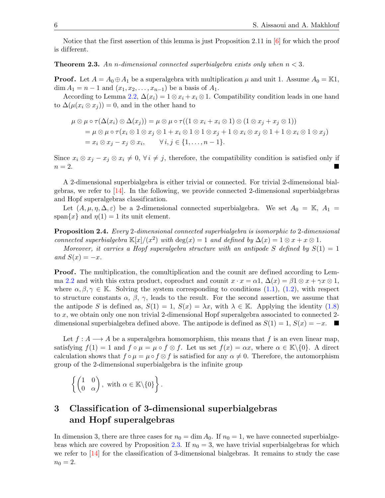Notice that the first assertion of this lemma is just Proposition 2.11 in [\[6\]](#page-22-21) for which the proof is dif ferent.

<span id="page-5-1"></span>**Theorem 2.3.** An n-dimensional connected superbialgebra exists only when  $n < 3$ .

**Proof.** Let  $A = A_0 \oplus A_1$  be a superalgebra with multiplication  $\mu$  and unit 1. Assume  $A_0 = \mathbb{K}1$ ,  $\dim A_1 = n - 1$  and  $(x_1, x_2, \ldots, x_{n-1})$  be a basis of  $A_1$ .

According to Lemma [2.2,](#page-4-1)  $\Delta(x_i) = 1 \otimes x_i + x_i \otimes 1$ . Compatibility condition leads in one hand to  $\Delta(\mu(x_i \otimes x_j)) = 0$ , and in the other hand to

$$
\mu \otimes \mu \circ \tau(\Delta(x_i) \otimes \Delta(x_j)) = \mu \otimes \mu \circ \tau((1 \otimes x_i + x_i \otimes 1) \otimes (1 \otimes x_j + x_j \otimes 1))
$$
  
=  $\mu \otimes \mu \circ \tau(x_i \otimes 1 \otimes x_j \otimes 1 + x_i \otimes 1 \otimes 1 \otimes x_j + 1 \otimes x_i \otimes x_j \otimes 1 + 1 \otimes x_i \otimes 1 \otimes x_j)$   
=  $x_i \otimes x_j - x_j \otimes x_i$ ,  $\forall i, j \in \{1, ..., n-1\}.$ 

Since  $x_i \otimes x_j - x_j \otimes x_i \neq 0$ ,  $\forall i \neq j$ , therefore, the compatibility condition is satisfied only if  $n = 2$ .

A 2-dimensional superbialgebra is either trivial or connected. For trivial 2-dimensional bialgebras, we refer to  $[14]$ . In the following, we provide connected 2-dimensional superbialgebras and Hopf superalgebras classification.

Let  $(A, \mu, \eta, \Delta, \varepsilon)$  be a 2-dimensional connected superbialgebra. We set  $A_0 = \mathbb{K}$ ,  $A_1 =$ span $\{x\}$  and  $\eta(1) = 1$  its unit element.

Proposition 2.4. Every 2-dimensional connected superbialgebra is isomorphic to 2-dimensional connected superbialgebra  $\mathbb{K}[x]/(x^2)$  with  $\deg(x) = 1$  and defined by  $\Delta(x) = 1 \otimes x + x \otimes 1$ .

Moreover, it carries a Hopf superalgebra structure with an antipode S defined by  $S(1) = 1$ and  $S(x) = -x$ .

**Proof.** The multiplication, the comultiplication and the counit are defined according to Lem-ma [2.2](#page-4-1) and with this extra product, coproduct and counit  $x \cdot x = \alpha 1$ ,  $\Delta(x) = \beta 1 \otimes x + \gamma x \otimes 1$ , where  $\alpha, \beta, \gamma \in \mathbb{K}$ . Solving the system corresponding to conditions [\(1.1\)](#page-1-4), [\(1.2\)](#page-1-5), with respect to structure constants  $\alpha$ ,  $\beta$ ,  $\gamma$ , leads to the result. For the second assertion, we assume that the antipode S is defined as,  $S(1) = 1$ ,  $S(x) = \lambda x$ , with  $\lambda \in \mathbb{K}$ . Applying the identity [\(1.8\)](#page-2-2) to x, we obtain only one non trivial 2-dimensional Hopf superalgebra associated to connected 2 dimensional superbialgebra defined above. The antipode is defined as  $S(1) = 1$ ,  $S(x) = -x$ .

Let  $f : A \longrightarrow A$  be a superalgebra homomorphism, this means that f is an even linear map, satisfying  $f(1) = 1$  and  $f \circ \mu = \mu \circ f \otimes f$ . Let us set  $f(x) = \alpha x$ , where  $\alpha \in \mathbb{K} \setminus \{0\}$ . A direct calculation shows that  $f \circ \mu = \mu \circ f \otimes f$  is satisfied for any  $\alpha \neq 0$ . Therefore, the automorphism group of the 2-dimensional superbialgebra is the infinite group

$$
\left\{ \begin{pmatrix} 1 & 0 \\ 0 & \alpha \end{pmatrix}, \text{ with } \alpha \in \mathbb{K} \setminus \{0\} \right\}.
$$

## <span id="page-5-0"></span>3 Classif ication of 3-dimensional superbialgebras and Hopf superalgebras

In dimension 3, there are three cases for  $n_0 = \dim A_0$ . If  $n_0 = 1$ , we have connected superbialge-bras which are covered by Proposition [2.3.](#page-5-1) If  $n_0 = 3$ , we have trivial superbialgebras for which we refer to  $\left[14\right]$  for the classification of 3-dimensional bialgebras. It remains to study the case  $n_0 = 2.$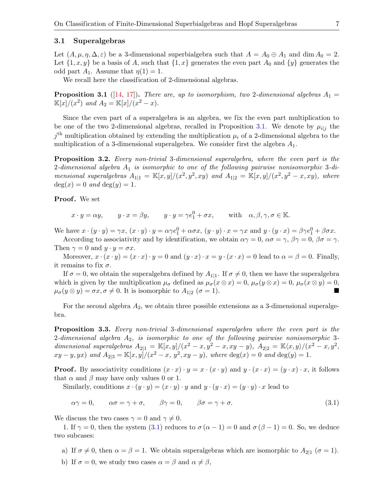#### 3.1 Superalgebras

Let  $(A, \mu, \eta, \Delta, \varepsilon)$  be a 3-dimensional superbialgebra such that  $A = A_0 \oplus A_1$  and  $\dim A_0 = 2$ . Let  $\{1, x, y\}$  be a basis of A, such that  $\{1, x\}$  generates the even part  $A_0$  and  $\{y\}$  generates the odd part  $A_1$ . Assume that  $\eta(1) = 1$ .

We recall here the classification of 2-dimensional algebras.

<span id="page-6-2"></span>**Proposition 3.1** ([\[14,](#page-22-19) [17\]](#page-22-20)). There are, up to isomorphism, two 2-dimensional algebras  $A_1 =$  $\mathbb{K}[x]/(x^2)$  and  $A_2 = \mathbb{K}[x]/(x^2 - x)$ .

Since the even part of a superalgebra is an algebra, we fix the even part multiplication to be one of the two 2-dimensional algebras, recalled in Proposition [3.1.](#page-6-2) We denote by  $\mu_{i,j}$  the  $j<sup>th</sup>$  multiplication obtained by extending the multiplication  $\mu_i$  of a 2-dimensional algebra to the multiplication of a 3-dimensional superalgebra. We consider first the algebra  $A_1$ .

<span id="page-6-0"></span>**Proposition 3.2.** Every non-trivial 3-dimensional superalgebra, where the even part is the 2-dimensional algebra  $A_1$  is isomorphic to one of the following pairwise nonisomorphic 3-dimensional superalgebras  $A_{1|1} = \mathbb{K}[x, y]/(x^2, y^2, xy)$  and  $A_{1|2} = \mathbb{K}[x, y]/(x^2, y^2 - x, xy)$ , where  $deg(x) = 0$  and  $deg(y) = 1$ .

Proof. We set

 $x \cdot y = \alpha y$ ,  $y \cdot x = \beta y$ ,  $y \cdot y = \gamma e_1^0 + \sigma x$ , with  $\alpha, \beta, \gamma, \sigma \in \mathbb{K}$ .

We have  $x \cdot (y \cdot y) = \gamma x$ ,  $(x \cdot y) \cdot y = \alpha \gamma e_1^0 + \alpha \sigma x$ ,  $(y \cdot y) \cdot x = \gamma x$  and  $y \cdot (y \cdot x) = \beta \gamma e_1^0 + \beta \sigma x$ .

According to associativity and by identification, we obtain  $\alpha\gamma = 0$ ,  $\alpha\sigma = \gamma$ ,  $\beta\gamma = 0$ ,  $\beta\sigma = \gamma$ . Then  $\gamma = 0$  and  $y \cdot y = \sigma x$ .

Moreover,  $x \cdot (x \cdot y) = (x \cdot x) \cdot y = 0$  and  $(y \cdot x) \cdot x = y \cdot (x \cdot x) = 0$  lead to  $\alpha = \beta = 0$ . Finally, it remains to fix  $\sigma$ .

If  $\sigma = 0$ , we obtain the superalgebra defined by  $A_{1|1}$ . If  $\sigma \neq 0$ , then we have the superalgebra which is given by the multiplication  $\mu_{\sigma}$  defined as  $\mu_{\sigma}(x \otimes x) = 0$ ,  $\mu_{\sigma}(y \otimes x) = 0$ ,  $\mu_{\sigma}(x \otimes y) = 0$ ,  $\mu_{\sigma}(y \otimes y) = \sigma x, \sigma \neq 0$ . It is isomorphic to  $A_{1|2}$  ( $\sigma = 1$ ).

For the second algebra  $A_2$ , we obtain three possible extensions as a 3-dimensional superalgebra.

<span id="page-6-1"></span>Proposition 3.3. Every non-trivial 3-dimensional superalgebra where the even part is the 2-dimensional algebra  $A_2$ , is isomorphic to one of the following pairwise nonisomorphic 3dimensional superalgebras  $A_{2|1} = \mathbb{K}[x, y]/(x^2 - x, y^2 - x, xy - y), A_{2|2} = \mathbb{K}\langle x, y \rangle/(x^2 - x, y^2, y)$  $xy - y, yx$ ) and  $A_{2|3} = \mathbb{K}[x, y]/(x^2 - x, y^2, xy - y)$ , where  $\deg(x) = 0$  and  $\deg(y) = 1$ .

**Proof.** By associativity conditions  $(x \cdot x) \cdot y = x \cdot (x \cdot y)$  and  $y \cdot (x \cdot x) = (y \cdot x) \cdot x$ , it follows that  $\alpha$  and  $\beta$  may have only values 0 or 1.

Similarly, conditions  $x \cdot (y \cdot y) = (x \cdot y) \cdot y$  and  $y \cdot (y \cdot x) = (y \cdot y) \cdot x$  lead to

<span id="page-6-3"></span>
$$
\alpha \gamma = 0, \qquad \alpha \sigma = \gamma + \sigma, \qquad \beta \gamma = 0, \qquad \beta \sigma = \gamma + \sigma. \tag{3.1}
$$

We discuss the two cases  $\gamma = 0$  and  $\gamma \neq 0$ .

1. If  $\gamma = 0$ , then the system [\(3.1\)](#page-6-3) reduces to  $\sigma (\alpha - 1) = 0$  and  $\sigma (\beta - 1) = 0$ . So, we deduce two subcases:

- a) If  $\sigma \neq 0$ , then  $\alpha = \beta = 1$ . We obtain superalgebras which are isomorphic to  $A_{2|1}$  ( $\sigma = 1$ ).
- b) If  $\sigma = 0$ , we study two cases  $\alpha = \beta$  and  $\alpha \neq \beta$ ,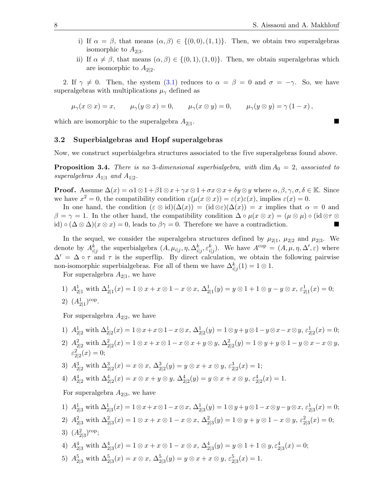- i) If  $\alpha = \beta$ , that means  $(\alpha, \beta) \in \{(0, 0), (1, 1)\}.$  Then, we obtain two superalgebras isomorphic to  $A_{2|3}$ .
- ii) If  $\alpha \neq \beta$ , that means  $(\alpha, \beta) \in \{(0, 1), (1, 0)\}.$  Then, we obtain superalgebras which are isomorphic to  $A_{2|2}$ .

2. If  $\gamma \neq 0$ . Then, the system [\(3.1\)](#page-6-3) reduces to  $\alpha = \beta = 0$  and  $\sigma = -\gamma$ . So, we have superalgebras with multiplications  $\mu_{\gamma}$  defined as

$$
\mu_{\gamma}(x \otimes x) = x, \qquad \mu_{\gamma}(y \otimes x) = 0, \qquad \mu_{\gamma}(x \otimes y) = 0, \qquad \mu_{\gamma}(y \otimes y) = \gamma (1 - x),
$$

which are isomorphic to the superalgebra  $A_{2|1}$ . .

#### 3.2 Superbialgebras and Hopf superalgebras

Now, we construct superbialgebra structures associated to the five superalgebras found above.

**Proposition 3.4.** There is no 3-dimensional superbialgebra, with  $\dim A_0 = 2$ , associated to superalgebras  $A_{1|1}$  and  $A_{1|2}$ .

**Proof.** Assume  $\Delta(x) = \alpha 1 \otimes 1 + \beta 1 \otimes x + \gamma x \otimes 1 + \sigma x \otimes x + \delta y \otimes y$  where  $\alpha, \beta, \gamma, \sigma, \delta \in \mathbb{K}$ . Since we have  $x^2 = 0$ , the compatibility condition  $\varepsilon(\mu(x \otimes x)) = \varepsilon(x)\varepsilon(x)$ , implies  $\varepsilon(x) = 0$ .

In one hand, the condition  $(\varepsilon \otimes id)(\Delta(x)) = (id \otimes \varepsilon)(\Delta(x)) = x$  implies that  $\alpha = 0$  and  $\beta = \gamma = 1$ . In the other hand, the compatibility condition  $\Delta \circ \mu(x \otimes x) = (\mu \otimes \mu) \circ (\mathrm{id} \otimes \tau \otimes \tau)$ id)  $\circ (\Delta \otimes \Delta)(x \otimes x) = 0$ , leads to  $\beta \gamma = 0$ . Therefore we have a contradiction.

In the sequel, we consider the superalgebra structures defined by  $\mu_{2|1}$ ,  $\mu_{2|2}$  and  $\mu_{2|3}$ . We denote by  $A_{i|j}^k$  the superbialgebra  $(A, \mu_{i|j}, \eta, \Delta_{i|j}^k, \varepsilon_{i|j}^k)$ . We have  $A^{\text{cop}} = (A, \mu, \eta, \Delta', \varepsilon)$  where  $\Delta' = \Delta \circ \tau$  and  $\tau$  is the superflip. By direct calculation, we obtain the following pairwise non-isomorphic superbialgebras. For all of them we have  $\Delta_{i|j}^k(1) = 1 \otimes 1$ .

For superalgebra  $A_{2|1}$ , we have

1)  $A_{2|1}^1$  with  $\Delta_{2|1}^1(x) = 1 \otimes x + x \otimes 1 - x \otimes x$ ,  $\Delta_{2|1}^1(y) = y \otimes 1 + x \otimes y - y \otimes x$ ,  $\varepsilon_{2|1}^1(x) = 0$ ;

2) 
$$
(A_{2|1}^1)^{\text{cop}}
$$
.

For superalgebra  $A_{2|2}$ , we have

1) 
$$
A_{2|2}^1
$$
 with  $\Delta_{2|2}^1(x) = 1 \otimes x + x \otimes 1 - x \otimes x$ ,  $\Delta_{2|2}^1(y) = 1 \otimes y + y \otimes 1 - y \otimes x - x \otimes y$ ,  $\varepsilon_{2|2}^1(x) = 0$ ;  
\n2)  $A_{2|2}^2$  with  $\Delta_{2|2}^2(x) = 1 \otimes x + x \otimes 1 - x \otimes x + y \otimes y$ ,  $\Delta_{2|2}^2(y) = 1 \otimes y + y \otimes 1 - y \otimes x - x \otimes y$ ,  
\n $\varepsilon_{2|2}^2(x) = 0$ ;  
\n3)  $A_{2|2}^3$  with  $\Delta_{2|2}^3(x) = x \otimes x$ ,  $\Delta_{2|2}^3(y) = y \otimes x + x \otimes y$ ,  $\varepsilon_{2|2}^3(x) = 1$ ;  
\n4)  $A_{2|2}^4$  with  $\Delta_{2|2}^4(x) = x \otimes x + y \otimes y$ ,  $\Delta_{2|2}^4(y) = y \otimes x + x \otimes y$ ,  $\varepsilon_{2|2}^4(x) = 1$ .  
\nFor superalgebra  $A_{2|3}$ , we have

1)  $A_{2|3}^1$  with  $\Delta_{2|3}^1(x) = 1 \otimes x + x \otimes 1 - x \otimes x$ ,  $\Delta_{2|3}^1(y) = 1 \otimes y + y \otimes 1 - x \otimes y - y \otimes x$ ,  $\varepsilon_{2|3}^1(x) = 0$ ; 2)  $A_{2|3}^2$  with  $\Delta_{2|3}^2(x) = 1 \otimes x + x \otimes 1 - x \otimes x$ ,  $\Delta_{2|3}^2(y) = 1 \otimes y + y \otimes 1 - x \otimes y$ ,  $\varepsilon_{2|3}^2(x) = 0$ ; 3)  $(A_{2|3}^2)^{\text{cop}};$ 

4) 
$$
A_{2|3}^4
$$
 with  $\Delta_{2|3}^4(x) = 1 \otimes x + x \otimes 1 - x \otimes x$ ,  $\Delta_{2|3}^4(y) = y \otimes 1 + 1 \otimes y$ ,  $\varepsilon_{2|3}^4(x) = 0$ ;

5)  $A_{2|3}^5$  with  $\Delta_{2|3}^5(x) = x \otimes x$ ,  $\Delta_{2|3}^5(y) = y \otimes x + x \otimes y$ ,  $\varepsilon_{2|3}^5(x) = 1$ .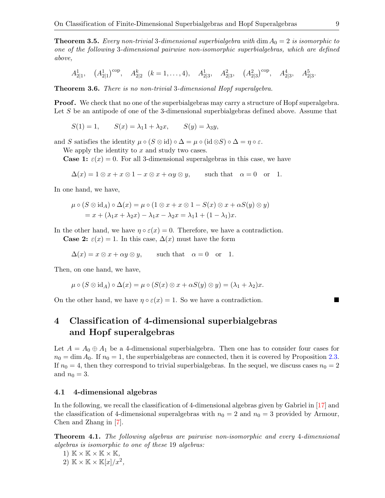**Theorem 3.5.** Every non-trivial 3-dimensional superbialgebra with  $\dim A_0 = 2$  is isomorphic to one of the following 3-dimensional pairwise non-isomorphic superbialgebras, which are defined above,

$$
A_{2|1}^1
$$
,  $(A_{2|1}^1)^{\text{cop}}$ ,  $A_{2|2}^k$   $(k = 1, ..., 4)$ ,  $A_{2|3}^1$ ,  $A_{2|3}^2$ ,  $(A_{2|3}^2)^{\text{cop}}$ ,  $A_{2|3}^4$ ,  $A_{2|3}^5$ .

Theorem 3.6. There is no non-trivial 3-dimensional Hopf superalgebra.

**Proof.** We check that no one of the superbialgebras may carry a structure of Hopf superalgebra. Let  $S$  be an antipode of one of the 3-dimensional superbialgebras defined above. Assume that

$$
S(1) = 1, \qquad S(x) = \lambda_1 1 + \lambda_2 x, \qquad S(y) = \lambda_3 y,
$$

and S satisfies the identity  $\mu \circ (S \otimes id) \circ \Delta = \mu \circ (id \otimes S) \circ \Delta = \eta \circ \varepsilon$ .

We apply the identity to  $x$  and study two cases.

**Case 1:**  $\varepsilon(x) = 0$ . For all 3-dimensional superalgebras in this case, we have

$$
\Delta(x) = 1 \otimes x + x \otimes 1 - x \otimes x + \alpha y \otimes y, \quad \text{such that} \quad \alpha = 0 \quad \text{or} \quad 1.
$$

In one hand, we have,

$$
\mu \circ (S \otimes id_A) \circ \Delta(x) = \mu \circ (1 \otimes x + x \otimes 1 - S(x) \otimes x + \alpha S(y) \otimes y)
$$
  
=  $x + (\lambda_1 x + \lambda_2 x) - \lambda_1 x - \lambda_2 x = \lambda_1 1 + (1 - \lambda_1)x$ .

In the other hand, we have  $\eta \circ \varepsilon(x) = 0$ . Therefore, we have a contradiction.

**Case 2:**  $\varepsilon(x) = 1$ . In this case,  $\Delta(x)$  must have the form

$$
\Delta(x) = x \otimes x + \alpha y \otimes y, \quad \text{such that} \quad \alpha = 0 \quad \text{or} \quad 1.
$$

Then, on one hand, we have,

$$
\mu \circ (S \otimes id_A) \circ \Delta(x) = \mu \circ (S(x) \otimes x + \alpha S(y) \otimes y) = (\lambda_1 + \lambda_2)x.
$$

On the other hand, we have  $\eta \circ \varepsilon(x) = 1$ . So we have a contradiction.

## <span id="page-8-0"></span>4 Classif ication of 4-dimensional superbialgebras and Hopf superalgebras

Let  $A = A_0 \oplus A_1$  be a 4-dimensional superbialgebra. Then one has to consider four cases for  $n_0 = \dim A_0$ . If  $n_0 = 1$ , the superbialgebras are connected, then it is covered by Proposition [2.3.](#page-5-1) If  $n_0 = 4$ , then they correspond to trivial superbialgebras. In the sequel, we discuss cases  $n_0 = 2$ and  $n_0 = 3$ .

#### 4.1 4-dimensional algebras

In the following, we recall the classification of 4-dimensional algebras given by Gabriel in [\[17\]](#page-22-20) and the classification of 4-dimensional superalgebras with  $n_0 = 2$  and  $n_0 = 3$  provided by Armour, Chen and Zhang in [\[7\]](#page-22-18).

<span id="page-8-1"></span>Theorem 4.1. The following algebras are pairwise non-isomorphic and every 4-dimensional algebras is isomorphic to one of these 19 algebras:

1) 
$$
\mathbb{K} \times \mathbb{K} \times \mathbb{K} \times \mathbb{K}
$$
,  
2)  $\mathbb{K} \times \mathbb{K} \times \mathbb{K}[x]/x^2$ ,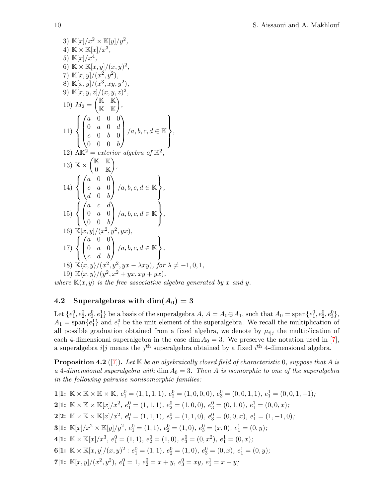3) 
$$
\mathbb{K}[x]/x^2 \times \mathbb{K}[y]/y^2
$$
,  
\n4)  $\mathbb{K} \times \mathbb{K}[x]/x^3$ ,  
\n5)  $\mathbb{K}[x]/x^4$ ,  
\n6)  $\mathbb{K} \times \mathbb{K}[x, y]/(x, y)^2$ ,  
\n7)  $\mathbb{K}[x, y]/(x^2, y^2)$ ,  
\n8)  $\mathbb{K}[x, y]/(x^3, xy, y^2)$ ,  
\n9)  $\mathbb{K}[x, y, z]/(x, y, z)^2$ ,  
\n10)  $M_2 = \begin{pmatrix} \mathbb{K} & \mathbb{K} \\ \mathbb{K} & \mathbb{K} \end{pmatrix}$ ,  
\n11)  $\begin{cases} \begin{pmatrix} a & 0 & 0 & 0 \\ 0 & a & 0 & d \\ c & 0 & b & 0 \\ 0 & 0 & 0 & b \end{pmatrix} / a, b, c, d \in \mathbb{K} \\ 0 & 0 & 0 & b \end{pmatrix}$ ,  
\n12)  $\mathbb{AK}^2 = exterior \ algebra \ of \mathbb{K}^2$ ,  
\n13)  $\mathbb{K} \times \begin{pmatrix} \mathbb{K} & \mathbb{K} \\ 0 & \mathbb{K} \end{pmatrix}$ ,  
\n14)  $\begin{cases} \begin{pmatrix} a & 0 & 0 \\ c & a & 0 \\ d & 0 & b \end{pmatrix} / a, b, c, d \in \mathbb{K} \\ 0 & a & 0 \\ 0 & 0 & b \end{pmatrix}$ ,  
\n15)  $\begin{cases} \begin{pmatrix} a & c & d \\ 0 & a & 0 \\ 0 & 0 & b \end{pmatrix} / a, b, c, d \in \mathbb{K} \\ 0 & a & 0 \\ c & d & b \end{pmatrix}$ ,  
\n16)  $\mathbb{K}[x, y]/(x^2, y^2, yx)$ ,  
\n17)  $\begin{cases} \begin{pmatrix} a & 0 & 0 \\ 0 & a & 0 \\ c & d & b \end{pmatrix} / a, b, c, d \in \mathbb{K} \\ c & d & b \end{cases}$ ,  
\n18)  $\mathbb{K}\langle x, y \rangle/(x^2, x^2 + y$ 

where  $\mathbb{K}\langle x, y \rangle$  is the free associative algebra generated by x and y.

### 4.2 Superalgebras with  $\dim(A_0) = 3$

 $\overline{a}$ 

Let  $\{e_1^0, e_2^0, e_3^0, e_1^1\}$  be a basis of the superalgebra  $A, A = A_0 \oplus A_1$ , such that  $A_0 = \text{span}\{e_1^0, e_2^0, e_3^0\}$ ,  $A_1 = \text{span}\{e_1^1\}$  and  $e_1^0$  be the unit element of the superalgebra. We recall the multiplication of all possible graduation obtained from a fixed algebra, we denote by  $\mu_{i,j}$  the multiplication of each 4-dimensional superalgebra in the case dim  $A_0 = 3$ . We preserve the notation used in [\[7\]](#page-22-18), a superalgebra  $i|j$  means the  $j<sup>th</sup>$  superalgebra obtained by a fixed  $i<sup>th</sup>$  4-dimensional algebra.

<span id="page-9-0"></span>**Proposition 4.2** ([\[7\]](#page-22-18)). Let  $K$  be an algebraically closed field of characteristic 0, suppose that A is a 4-dimensional superalgebra with dim  $A_0 = 3$ . Then A is isomorphic to one of the superalgebra in the following pairwise nonisomorphic families:

1|1: 
$$
\mathbb{K} \times \mathbb{K} \times \mathbb{K}
$$
,  $e_1^0 = (1, 1, 1, 1)$ ,  $e_2^0 = (1, 0, 0, 0)$ ,  $e_3^0 = (0, 0, 1, 1)$ ,  $e_1^1 = (0, 0, 1, -1)$ ;  
\n2|1:  $\mathbb{K} \times \mathbb{K} \times \mathbb{K}[x]/x^2$ ,  $e_1^0 = (1, 1, 1)$ ,  $e_2^0 = (1, 0, 0)$ ,  $e_3^0 = (0, 1, 0)$ ,  $e_1^1 = (0, 0, x)$ ;  
\n2|2:  $\mathbb{K} \times \mathbb{K} \times \mathbb{K}[x]/x^2$ ,  $e_1^0 = (1, 1, 1)$ ,  $e_2^0 = (1, 1, 0)$ ,  $e_3^0 = (0, 0, x)$ ,  $e_1^1 = (1, -1, 0)$ ;  
\n3|1:  $\mathbb{K}[x]/x^2 \times \mathbb{K}[y]/y^2$ ,  $e_1^0 = (1, 1)$ ,  $e_2^0 = (1, 0)$ ,  $e_3^0 = (x, 0)$ ,  $e_1^1 = (0, y)$ ;  
\n4|1:  $\mathbb{K} \times \mathbb{K}[x]/x^3$ ,  $e_1^0 = (1, 1)$ ,  $e_2^0 = (1, 0)$ ,  $e_3^0 = (0, x^2)$ ,  $e_1^1 = (0, x)$ ;  
\n6|1:  $\mathbb{K} \times \mathbb{K}[x, y]/(x, y)^2$ :  $e_1^0 = (1, 1)$ ,  $e_2^0 = (1, 0)$ ,  $e_3^0 = (0, x)$ ,  $e_1^1 = (0, y)$ ;  
\n7|1:  $\mathbb{K}[x, y]/(x^2, y^2)$ ,  $e_1^0 = 1$ ,  $e_2^0 = x + y$ ,  $e_3^0 = xy$ ,  $e_1^1 = x - y$ ;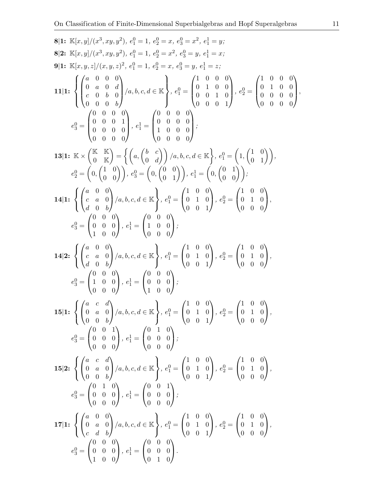8|1: 
$$
\mathbb{K}[x, y]/(x^3, xy, y^2), e^0 = 1, e^0 = x, e^0 = x^2, e^1 = y;
$$
  
\n8|2:  $\mathbb{K}[x, y]/(x^3, xy, y^2), e^0 = 1, e^0 = x^2, e^0 = y, e^1 = x;$   
\n9|1:  $\mathbb{K}[x, y, z]/(x^3, xy, z)^2, e^0 = 1, e^0 = x^2, e^0 = y, e^1 = z;$   
\n11|1:  $\left\{ \begin{pmatrix} a & 0 & 0 \\ 0 & a & 0 & d \\ 0 & 0 & b & 0 \\ 0 & 0 & 0 & 0 \\ 0 & 0 & 0 & 0 \end{pmatrix} / a, b, c, d \in \mathbb{K} \right\}, e^0_1 = \begin{pmatrix} 1 & 0 & 0 & 0 \\ 0 & 1 & 0 & 0 \\ 0 & 0 & 0 & 1 \\ 0 & 0 & 0 & 0 \end{pmatrix}, e^1_2 = \begin{pmatrix} 1 & 0 & 0 & 0 \\ 0 & 1 & 0 & 0 \\ 0 & 0 & 0 & 0 \\ 0 & 0 & 0 & 0 \end{pmatrix};$   
\n13|1:  $\mathbb{K} \times \begin{pmatrix} \mathbb{K} & \mathbb{K} \\ \mathbb{K} & \mathbb{K} \\ 0 & 0 & 0 \end{pmatrix} = \left\{ \begin{pmatrix} 0 & 0 & 0 & 0 \\ 0 & 0 & 0 & 0 \\ 1 & 0 & 0 & 0 \\ 0 & 0 & 0 & 0 \end{pmatrix} \right\};$   
\n14|1:  $\left\{ \begin{pmatrix} a & 0 & 0 \\ a & 0 & 0 \\ d & 0 & b \end{pmatrix} / a, b, c, d \in \mathbb{K} \right\}, e^0_1 = \begin{pmatrix} 1 & 0 & 0 \\ 0 & 1 & 0 \\ 0 & 0 & 0 & 1 \end{pmatrix}, e^1_2 = \begin{pmatrix} 1 & 0 & 0 \\ 0 & 1 & 0 \\ 0 & 0 & 0 \end{pmatrix};$   
\n14|1:  $\left\{ \begin{pmatrix} a & 0 & 0 \\ a & 0 & 0 \\ d & 0 & b \end{pmatrix} / a, b, c, d \in \$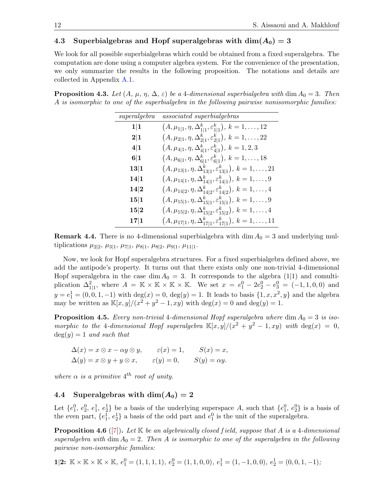### 4.3 Superbialgebras and Hopf superalgebras with  $dim(A_0) = 3$

We look for all possible superbialgebras which could be obtained from a fixed superalgebra. The computation are done using a computer algebra system. For the convenience of the presentation, we only summarize the results in the following proposition. The notations and details are collected in Appendix [A.1.](#page-16-0)

**Proposition 4.3.** Let  $(A, \mu, \eta, \Delta, \varepsilon)$  be a 4-dimensional superbialgebra with dim  $A_0 = 3$ . Then A is isomorphic to one of the superbialgebra in the following pairwise nonisomorphic families:

| superalgebra | associated superbialgebras                                                        |
|--------------|-----------------------------------------------------------------------------------|
| 1 1          | $(A, \mu_{1 1}, \eta, \Delta_{1 1}^k, \varepsilon_{1 1}^k), k = 1, \ldots, 12$    |
| 2 1          | $(A, \mu_{2 1}, \eta, \Delta_{2 1}^k, \varepsilon_{2 1}^k), k = 1, \ldots, 22$    |
| 4 1          | $(A, \mu_{4 1}, \eta, \Delta_{4 1}^k, \varepsilon_{4 1}^k), k = 1, 2, 3$          |
| 6 1          | $(A, \mu_{6 1}, \eta, \Delta_{6 1}^k, \varepsilon_{6 1}^k), k = 1, \ldots, 18$    |
| 13 1         | $(A, \mu_{13 1}, \eta, \Delta_{13 1}^k, \varepsilon_{13 1}^k), k = 1, \ldots, 21$ |
| 14 1         | $(A, \mu_{14 1}, \eta, \Delta_{14 1}^k, \varepsilon_{14 1}^k), k = 1, \ldots, 9$  |
| 14 2         | $(A, \mu_{14 2}, \eta, \Delta_{14 2}^k, \varepsilon_{14 2}^k), k = 1, \ldots, 4$  |
| 15 1         | $(A, \mu_{15 1}, \eta, \Delta_{15 1}^k, \varepsilon_{15 1}^k), k = 1, \ldots, 9$  |
| 15 2         | $(A, \mu_{15 2}, \eta, \Delta_{15 2}^k, \varepsilon_{15 2}^k), k = 1, \ldots, 4$  |
| 17 1         | $(A, \mu_{17 1}, \eta, \Delta_{17 1}^k, \varepsilon_{17 1}^k), k = 1, \ldots, 11$ |

**Remark 4.4.** There is no 4-dimensional superbialgebra with dim  $A_0 = 3$  and underlying multiplications  $\mu_{2|2}, \mu_{3|1}, \mu_{7|1}, \mu_{8|1}, \mu_{8|2}, \mu_{9|1}, \mu_{11|1}.$ 

Now, we look for Hopf superalgebra structures. For a fixed superbialgebra defined above, we add the antipode's property. It turns out that there exists only one non-trivial 4-dimensional Hopf superalgebra in the case dim  $A_0 = 3$ . It corresponds to the algebra (1|1) and comultiplication  $\Delta_{1|1}^2$ , where  $A = \mathbb{K} \times \mathbb{K} \times \mathbb{K} \times \mathbb{K}$ . We set  $x = e_1^0 - 2e_2^0 - e_3^0 = (-1, 1, 0, 0)$  and  $y = e_1^1 = (0, 0, 1, -1)$  with  $deg(x) = 0$ ,  $deg(y) = 1$ . It leads to basis  $\{1, x, x^2, y\}$  and the algebra may be written as  $\mathbb{K}[x,y]/(x^2+y^2-1, xy)$  with  $\deg(x) = 0$  and  $\deg(y) = 1$ .

<span id="page-11-0"></span>**Proposition 4.5.** Every non-trivial 4-dimensional Hopf superalgebra where dim  $A_0 = 3$  is isomorphic to the 4-dimensional Hopf superalgebra  $\mathbb{K}[x,y]/(x^2 + y^2 - 1, xy)$  with  $\deg(x) = 0$ ,  $deg(y) = 1$  and such that

$$
\Delta(x) = x \otimes x - \alpha y \otimes y, \qquad \varepsilon(x) = 1, \qquad S(x) = x, \n\Delta(y) = x \otimes y + y \otimes x, \qquad \varepsilon(y) = 0, \qquad S(y) = \alpha y.
$$

where  $\alpha$  is a primitive  $4^{th}$  root of unity.

#### 4.4 Superalgebras with  $\dim(A_0) = 2$

Let  $\{e_1^0, e_2^0, e_1^1, e_2^1\}$  be a basis of the underlying superspace A, such that  $\{e_1^0, e_2^0\}$  is a basis of the even part,  $\{e_1^1, e_2^1\}$  a basis of the odd part and  $e_1^0$  is the unit of the superalgebra.

<span id="page-11-1"></span>**Proposition 4.6** ([\[7\]](#page-22-18)). Let  $K$  be an algebraically closed field, suppose that A is a 4-dimensional superalgebra with dim  $A_0 = 2$ . Then A is isomorphic to one of the superalgebra in the following pairwise non-isomorphic families:

$$
\textbf{1}[\textbf{2:}\ \mathbb{K}\times\mathbb{K}\times\mathbb{K}\times\mathbb{K},\ e^0_1=(1,1,1,1),\ e^0_2=(1,1,0,0),\ e^1_1=(1,-1,0,0),\ e^1_2=(0,0,1,-1);
$$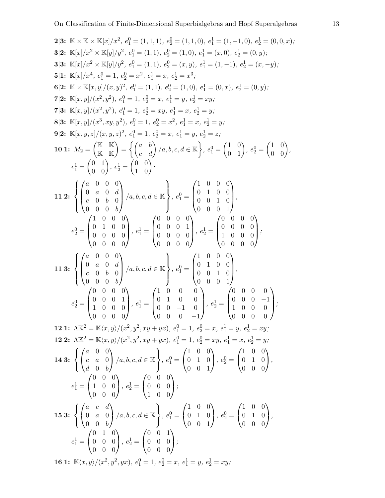2|3: 
$$
\mathbb{K} \times \mathbb{K} \times \mathbb{K}[x]/x^2
$$
,  $e_1^0 = (1, 1, 1)$ ,  $e_2^0 = (1, 1, 0)$ ,  $e_1^1 = (1, -1, 0)$ ,  $e_2^1 = (0, 0, x)$ ; 3|2:  $\mathbb{K}[x]/x^2 \times \mathbb{K}[y]/y^2$ ,  $e_1^0 = (1, 1)$ ,  $e_2^0 = (1, 0)$ ,  $e_1^1 = (x, 0)$ ,  $e_2^1 = (0, 0, x)$ ; 3|3:  $\mathbb{K}[x]/x^2 \times \mathbb{K}[y]/y^2$ ,  $e_1^0 = (1, 1)$ ,  $e_2^0 = (x, y)$ ,  $e_1^1 = (1, -1)$ ,  $e_2^1 = (x, -y)$ ; 5|1:  $\mathbb{K}[x]/x^4$ ,  $e_1^0 = 1$ ,  $e_2^0 = x^2$ ,  $e_1^1 = x$ ,  $e_2^1 = x^3$ ; 6|2:  $\mathbb{K} \times \mathbb{K}[x, y]/(x^3, y^2)$ ,  $e_1^0 = (1, 1)$ ,  $e_2^0 = (1, 0)$ ,  $e_1^1 = (0, x)$ ,  $e_2^1 = (0, y)$ ; 7|2:  $\mathbb{K}[x, y]/(x^3, y^2)$ ,  $e_1^0 = 1$ ,  $e_2^0 = x$ ,  $e_1^1 = y$ ,  $e_2^1 = xy$ ; 7|3:  $\mathbb{K}[x, y]/(x^3, xy, y^2)$ ,  $e_1^0 = 1$ ,  $e_2^0 = x$ ,  $e_1^1 = y$ ,  $e_2^1 = y$ ; 8|3:  $\mathbb{K}[x, y]/(x^3, xy, y^2)$ ,  $e_1^0 = 1$ ,  $e_2^0 = x$ ,  $e_1^1 = x$ ,  $e_2^1 = y$ ; 9|1:  $\mathbb{K}_2 = \begin{pmatrix} (x & 1)^2 \\ (x & 1)^2 \\ (x & 1)^2 \end{pmatrix}$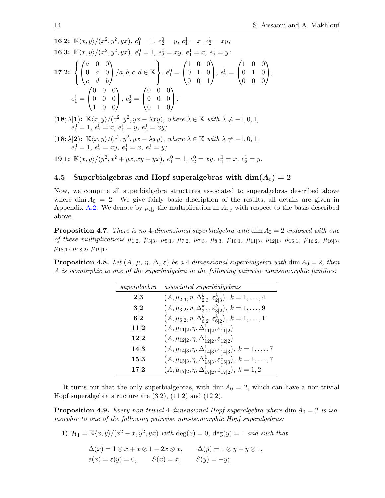16|2:  $\mathbb{K}\langle x, y \rangle/(x^2, y^2, yx), e_1^0 = 1, e_2^0 = y, e_1^1 = x, e_2^1 = xy;$ **16|3:**  $\mathbb{K}\langle x, y \rangle/(x^2, y^2, yx), e_1^0 = 1, e_2^0 = xy, e_1^1 = x, e_2^1 = y;$ 17|2:  $\sqrt{ }$  $\left\vert \right\vert$  $\mathcal{L}$  $\sqrt{ }$  $\mathcal{L}$ a 0 0 0 a 0  $c$  d b  $\setminus$  $\Big\}$  /a, b, c, d  $\in \mathbb{K}$  $\mathcal{L}$  $\mathcal{L}$ J  $, e_1^0 =$  $\sqrt{ }$  $\mathcal{L}$ 1 0 0 0 1 0 0 0 1  $\setminus$  $\Big\}$ ,  $e_2^0 =$  $\sqrt{ }$  $\mathcal{L}$ 1 0 0 0 1 0 0 0 0  $\setminus$  $\vert$ ,  $e_1^1 =$  $\sqrt{ }$  $\overline{1}$ 0 0 0 0 0 0 1 0 0  $\setminus$  $\Big\}, e_2^1 =$  $\sqrt{ }$  $\overline{1}$ 0 0 0 0 0 0 0 1 0  $\setminus$  $\vert$ ;  $(18; \lambda|1)$ :  $\mathbb{K}\langle x, y\rangle/(x^2, y^2, yx - \lambda xy)$ , where  $\lambda \in \mathbb{K}$  with  $\lambda \neq -1, 0, 1$ ,  $e_1^0 = 1, e_2^0 = x, e_1^1 = y, e_2^1 = xy;$  $(18; \lambda|2)$ :  $\mathbb{K}\langle x, y\rangle/(x^2, y^2, yx - \lambda xy)$ , where  $\lambda \in \mathbb{K}$  with  $\lambda \neq -1, 0, 1$ ,  $e_1^0 = 1, e_2^0 = xy, e_1^1 = x, e_2^1 = y;$ 19|1:  $\mathbb{K}\langle x,y\rangle/(y^2, x^2 + yx, xy + yx), e_1^0 = 1, e_2^0 = xy, e_1^1 = x, e_2^1 = y.$ 

## 4.5 Superbialgebras and Hopf superalgebras with  $\dim(A_0) = 2$

Now, we compute all superbialgebra structures associated to superalgebras described above where  $\dim A_0 = 2$ . We give fairly basic description of the results, all details are given in Appendix [A.2.](#page-20-0) We denote by  $\mu_{i,j}$  the multiplication in  $A_{i,j}$  with respect to the basis described above.

**Proposition 4.7.** There is no 4-dimensional superbialgebra with dim  $A_0 = 2$  endowed with one of these multiplications  $\mu_{1|2}$ ,  $\mu_{3|3}$ ,  $\mu_{5|1}$ ,  $\mu_{7|2}$ ,  $\mu_{7|3}$ ,  $\mu_{8|3}$ ,  $\mu_{10|1}$ ,  $\mu_{11|3}$ ,  $\mu_{12|1}$ ,  $\mu_{16|1}$ ,  $\mu_{16|2}$ ,  $\mu_{16|3}$ ,  $\mu_{18|1}, \mu_{18|2}, \mu_{19|1}.$ 

**Proposition 4.8.** Let  $(A, \mu, \eta, \Delta, \varepsilon)$  be a 4-dimensional superbialgebra with dim  $A_0 = 2$ , then A is isomorphic to one of the superbialgebra in the following pairwise nonisomorphic families:

| superalgebra | associated superbialgebras                                                       |
|--------------|----------------------------------------------------------------------------------|
| 2 3          | $(A, \mu_{2 3}, \eta, \Delta_{2 3}^k, \varepsilon_{2 3}^k), k = 1, \ldots, 4$    |
| 3 2          | $(A, \mu_{3 2}, \eta, \Delta_{3 2}^k, \varepsilon_{3 2}^k), k = 1, \ldots, 9$    |
| 6 2          | $(A, \mu_{6 2}, \eta, \Delta_{6 2}^k, \varepsilon_{6 2}^k), k = 1, \ldots, 11$   |
| 11 2         | $(A, \mu_{11 2}, \eta, \Delta_{11 2}^1, \varepsilon_{11 2}^1)$                   |
| 12 2         | $(A, \mu_{12 2}, \eta, \Delta^1_{12 2}, \varepsilon^1_{12 2})$                   |
| 14 3         | $(A, \mu_{14 3}, \eta, \Delta_{14 3}^1, \varepsilon_{14 3}^1), k = 1, \ldots, 7$ |
| 15 3         | $(A, \mu_{15 3}, \eta, \Delta^1_{15 3}, \varepsilon^1_{15 3}), k = 1, \ldots, 7$ |
| 17 2         | $(A, \mu_{17 2}, \eta, \Delta^1_{17 2}, \varepsilon^1_{17 2}), k = 1, 2$         |

It turns out that the only superbialgebras, with  $\dim A_0 = 2$ , which can have a non-trivial Hopf superalgebra structure are  $(3|2)$ ,  $(11|2)$  and  $(12|2)$ .

<span id="page-13-0"></span>**Proposition 4.9.** Every non-trivial 4-dimensional Hopf superalgebra where dim  $A_0 = 2$  is isomorphic to one of the following pairwise non-isomorphic Hopf superalgebras:

1) 
$$
\mathcal{H}_1 = \mathbb{K}\langle x, y \rangle / (x^2 - x, y^2, yx)
$$
 with deg $(x) = 0$ , deg $(y) = 1$  and such that  
\n
$$
\Delta(x) = 1 \otimes x + x \otimes 1 - 2x \otimes x, \qquad \Delta(y) = 1 \otimes y + y \otimes 1,
$$
\n
$$
\varepsilon(x) = \varepsilon(y) = 0, \qquad S(x) = x, \qquad S(y) = -y;
$$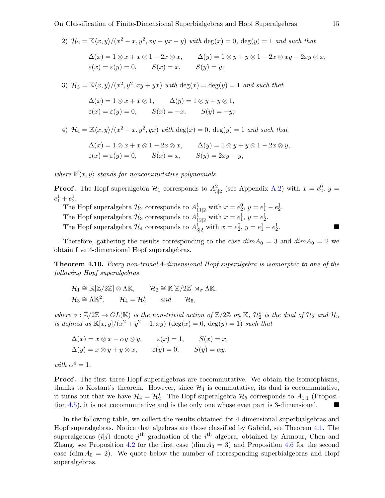2) 
$$
\mathcal{H}_2 = \mathbb{K}\langle x, y \rangle/(x^2 - x, y^2, xy - yx - y)
$$
 with deg $(x) = 0$ , deg $(y) = 1$  and such that  
\n
$$
\Delta(x) = 1 \otimes x + x \otimes 1 - 2x \otimes x, \qquad \Delta(y) = 1 \otimes y + y \otimes 1 - 2x \otimes xy - 2xy \otimes x,
$$
\n
$$
\varepsilon(x) = \varepsilon(y) = 0, \qquad S(x) = x, \qquad S(y) = y;
$$

3)  $\mathcal{H}_3 = \mathbb{K}\langle x, y \rangle / (x^2, y^2, xy + yx)$  with  $\deg(x) = \deg(y) = 1$  and such that

$$
\Delta(x) = 1 \otimes x + x \otimes 1, \qquad \Delta(y) = 1 \otimes y + y \otimes 1, \n\varepsilon(x) = \varepsilon(y) = 0, \qquad S(x) = -x, \qquad S(y) = -y;
$$

4)  $\mathcal{H}_4 = \mathbb{K}\langle x, y \rangle / (x^2 - x, y^2, yx)$  with  $\deg(x) = 0$ ,  $\deg(y) = 1$  and such that

$$
\Delta(x) = 1 \otimes x + x \otimes 1 - 2x \otimes x, \qquad \Delta(y) = 1 \otimes y + y \otimes 1 - 2x \otimes y, \n\varepsilon(x) = \varepsilon(y) = 0, \qquad S(x) = x, \qquad S(y) = 2xy - y,
$$

where  $\mathbb{K}\langle x, y \rangle$  stands for noncommutative polynomials.

**Proof.** The Hopf superalgebra  $\mathcal{H}_1$  corresponds to  $A_{3|2}^2$  (see Appendix [A.2\)](#page-20-0) with  $x = e_2^0$ ,  $y =$  $e_1^1 + e_2^1.$ 

The Hopf superalgebra  $\mathcal{H}_2$  corresponds to  $A_{11|2}^1$  with  $x = e_2^0$ ,  $y = e_1^1 - e_2^1$ . The Hopf superalgebra  $\mathcal{H}_3$  corresponds to  $A_{12|2}^1$  with  $x = e_1^1$ ,  $y = e_2^1$ .

The Hopf superalgebra  $\mathcal{H}_4$  corresponds to  $A_{3|2}^1$  with  $x = e_2^0$ ,  $y = e_1^1 + e_2^1$ .

Therefore, gathering the results corresponding to the case  $dim A_0 = 3$  and  $dim A_0 = 2$  we obtain five 4-dimensional Hopf superalgebras.

Theorem 4.10. Every non-trivial 4-dimensional Hopf superalgebra is isomorphic to one of the following Hopf superalgebras

$$
\mathcal{H}_1 \cong \mathbb{K}[\mathbb{Z}/2\mathbb{Z}] \otimes \Lambda \mathbb{K}, \qquad \mathcal{H}_2 \cong \mathbb{K}[\mathbb{Z}/2\mathbb{Z}] \rtimes_{\sigma} \Lambda \mathbb{K},
$$
  

$$
\mathcal{H}_3 \cong \Lambda \mathbb{K}^2, \qquad \mathcal{H}_4 = \mathcal{H}_2^* \qquad and \qquad \mathcal{H}_5,
$$

where  $\sigma : \mathbb{Z}/2\mathbb{Z} \to GL(\mathbb{K})$  is the non-trivial action of  $\mathbb{Z}/2\mathbb{Z}$  on  $\mathbb{K}$ ,  $\mathcal{H}_2^*$  is the dual of  $\mathcal{H}_2$  and  $\mathcal{H}_5$ is defined as  $\mathbb{K}[x, y]/(x^2 + y^2 - 1, xy)$   $(\deg(x) = 0, \deg(y) = 1)$  such that

$$
\Delta(x) = x \otimes x - \alpha y \otimes y, \qquad \varepsilon(x) = 1, \qquad S(x) = x, \n\Delta(y) = x \otimes y + y \otimes x, \qquad \varepsilon(y) = 0, \qquad S(y) = \alpha y.
$$

with  $\alpha^4 = 1$ .

**Proof.** The first three Hopf superalgebras are cocommutative. We obtain the isomorphisms, thanks to Kostant's theorem. However, since  $\mathcal{H}_4$  is commutative, its dual is cocommutative, it turns out that we have  $\mathcal{H}_4 = \mathcal{H}_2^*$ . The Hopf superalgebra  $\mathcal{H}_5$  corresponds to  $A_{1|1}$  (Proposition [4.5\)](#page-11-0), it is not cocommutative and is the only one whose even part is 3-dimensional.

In the following table, we collect the results obtained for 4-dimensional superbialgebras and Hopf superalgebras. Notice that algebras are those classified by Gabriel, see Theorem [4.1.](#page-8-1) The superalgebras  $(i|j)$  denote  $j<sup>th</sup>$  graduation of the  $i<sup>th</sup>$  algebra, obtained by Armour, Chen and Zhang, see Proposition [4.2](#page-9-0) for the first case (dim  $A_0 = 3$ ) and Proposition [4.6](#page-11-1) for the second case  $(\dim A_0 = 2)$ . We quote below the number of corresponding superbialgebras and Hopf superalgebras.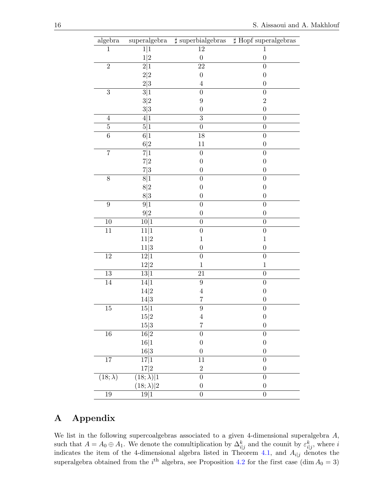| algebra                    | $\superalgebra$             | $\sharp$ superbialgebras | $\sharp$ Hopf superalgebras |
|----------------------------|-----------------------------|--------------------------|-----------------------------|
| $\mathbf{1}$               | $\overline{1 1}$            | $\overline{12}$          | $\mathbf{1}$                |
|                            | 1 2                         | $\boldsymbol{0}$         | $\boldsymbol{0}$            |
| $\overline{2}$             | 2 1                         | 22                       | $\boldsymbol{0}$            |
|                            | 2 2                         | $\boldsymbol{0}$         | $\boldsymbol{0}$            |
|                            | $2\vert 3$                  | $\overline{4}$           | $\boldsymbol{0}$            |
| $\overline{3}$             | 3 1                         | $\boldsymbol{0}$         | $\boldsymbol{0}$            |
|                            | 3 2                         | 9                        | $\boldsymbol{2}$            |
|                            | 3 3                         | $\overline{0}$           | $\boldsymbol{0}$            |
| $\overline{4}$             | 4 1                         | $\overline{3}$           | $\overline{0}$              |
| $\bf 5$                    | 5 1                         | $\boldsymbol{0}$         | $\boldsymbol{0}$            |
| $\overline{6}$             | 6 1                         | $\overline{18}$          | $\overline{0}$              |
|                            | 6 2                         | 11                       | $\boldsymbol{0}$            |
| $\overline{7}$             | 7 1                         | $\boldsymbol{0}$         | $\boldsymbol{0}$            |
|                            | 7 2                         | $\boldsymbol{0}$         | $\boldsymbol{0}$            |
|                            | 7 3                         | $\boldsymbol{0}$         | $\boldsymbol{0}$            |
| $\overline{8}$             | 8 1                         | $\boldsymbol{0}$         | $\boldsymbol{0}$            |
|                            | 8 2                         | $\boldsymbol{0}$         | $\boldsymbol{0}$            |
|                            | 8 3                         | $\boldsymbol{0}$         | $\boldsymbol{0}$            |
| $\overline{9}$             | 9 1                         | $\boldsymbol{0}$         | $\overline{0}$              |
|                            | $9\vert 2$                  | $\boldsymbol{0}$         | $\boldsymbol{0}$            |
| 10                         | 10 1                        | $\overline{0}$           | $\boldsymbol{0}$            |
| $\overline{11}$            | 11 1                        | $\overline{0}$           | $\boldsymbol{0}$            |
|                            | 11 2                        | $\mathbf{1}$             | $\mathbf{1}$                |
|                            | $11 3$                      | $\boldsymbol{0}$         | $\boldsymbol{0}$            |
| $\overline{1}\overline{2}$ | 12 1                        | $\overline{0}$           | $\overline{0}$              |
|                            | $12\vert2$                  | $\mathbf{1}$             | $\,1$                       |
| $13\,$                     | 13 1                        | 21                       | $\boldsymbol{0}$            |
| 14                         | 14 1                        | 9                        | $\boldsymbol{0}$            |
|                            | 14 2                        | $\overline{4}$           | $\boldsymbol{0}$            |
|                            | 14 3                        | 7                        | $\boldsymbol{0}$            |
| 15                         | 15 1                        | $\overline{9}$           | $\boldsymbol{0}$            |
|                            | $15 2$                      | $\overline{4}$           | $\boldsymbol{0}$            |
|                            | 15 3                        | 7                        | $\boldsymbol{0}$            |
| $\overline{16}$            | $\overline{16 2}$           | $\overline{0}$           | $\boldsymbol{0}$            |
|                            | $16 1$                      | $\boldsymbol{0}$         | $\boldsymbol{0}$            |
|                            | 16 3                        | $\boldsymbol{0}$         | $\boldsymbol{0}$            |
| $17\,$                     | $\overline{17 1}$           | 11                       | $\boldsymbol{0}$            |
|                            | 17 2                        | $\overline{2}$           | $\boldsymbol{0}$            |
| $\overline{(18;\lambda)}$  | $\overline{(18;\lambda) 1}$ | $\overline{0}$           | $\boldsymbol{0}$            |
|                            | $(18; \lambda)$  2          | $\boldsymbol{0}$         | $\boldsymbol{0}$            |
|                            |                             | $\overline{0}$           | $\overline{0}$              |
| 19                         | 19 1                        |                          |                             |

## A Appendix

We list in the following supercoalgebras associated to a given 4-dimensional superalgebra A, such that  $A = A_0 \oplus A_1$ . We denote the comultiplication by  $\Delta_{i|j}^k$  and the counit by  $\varepsilon_{i|j}^k$ , where i indicates the item of the 4-dimensional algebra listed in Theorem [4.1,](#page-8-1) and  $A_{i|j}$  denotes the superalgebra obtained from the  $i<sup>th</sup>$  algebra, see Proposition [4.2](#page-9-0) for the first case (dim  $A_0 = 3$ )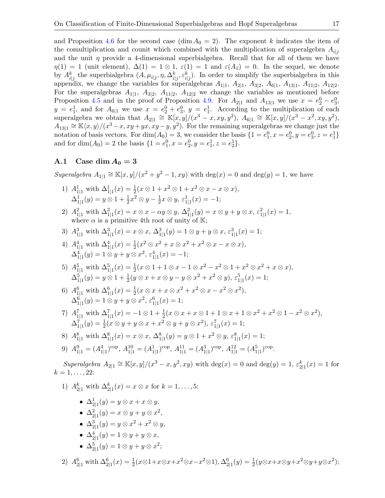and Proposition [4.6](#page-11-1) for the second case (dim  $A_0 = 2$ ). The exponent k indicates the item of the comultiplication and counit which combined with the multiplication of superalgebra  $A_{i,j}$ and the unit  $\eta$  provide a 4-dimensional superbialgebra. Recall that for all of them we have  $\eta(1) = 1$  (unit element),  $\Delta(1) = 1 \otimes 1$ ,  $\varepsilon(1) = 1$  and  $\varepsilon(A_1) = 0$ . In the sequel, we denote by  $A_{i|j}^k$  the superbialgebra  $(A, \mu_{i|j}, \eta, \Delta_{i|j}^k, \varepsilon_{i|j}^k)$ . In order to simplify the superbialgebra in this appendix, we change the variables for superalgebras  $A_{1|1}$ ,  $A_{2|1}$ ,  $A_{3|2}$ ,  $A_{6|1}$ ,  $A_{13|1}$ ,  $A_{11|2}$ ,  $A_{12|2}$ . For the superalgebras  $A_{1|1}$ ,  $A_{3|2}$ ,  $A_{11|2}$ ,  $A_{12|2}$  we change the variables as mentioned before Proposition [4.5](#page-11-0) and in the proof of Proposition [4.9.](#page-13-0) For  $A_{2|1}$  and  $A_{13|1}$  we use  $x = e_2^0 - e_3^0$ ,  $y = e_1^1$ , and for  $A_{6|1}$  we use  $x = e_2^0 + e_3^0$ ,  $y = e_1^1$ . According to the multiplication of each superalgebra we obtain that  $A_{2|1} \cong \mathbb{K}[x,y]/(x^3 - x, xy, y^2), \ \tilde{A}_{6|1} \cong \mathbb{K}[x,y]/(x^3 - x^2, xy, y^2),$  $A_{13|1} \cong \mathbb{K}\langle x,y\rangle/(x^3-x, xy+yx, xy-y, y^2)$ . For the remaining superalgebras we change just the notation of basis vectors. For  $\dim(A_0) = 3$ , we consider the basis  $\{1 = e_1^0, x = e_2^0, y = e_3^0, z = e_1^1\}$ and for  $\dim(A_0) = 2$  the basis  $\{1 = e_1^0, x = e_2^0, y = e_1^1, z = e_2^1\}.$ 

#### <span id="page-16-0"></span>A.1 Case dim  $A_0 = 3$

Superalgebra  $A_{1|1} \cong \mathbb{K}[x, y]/(x^2 + y^2 - 1, xy)$  with  $\deg(x) = 0$  and  $\deg(y) = 1$ , we have

- 1)  $A_{1|1}^1$  with  $\Delta_{1|1}^1(x) = \frac{1}{2}(x \otimes 1 + x^2 \otimes 1 + x^2 \otimes x x \otimes x),$  $\Delta^1_{1|1}(y) = y \otimes 1 + \frac{1}{2}x^2 \otimes y - \frac{1}{2}$  $\frac{1}{2}x \otimes y, \, \varepsilon^1_{1|1}(x) = -1;$
- 2)  $A_{1|1}^2$  with  $\Delta_{1|1}^2(x) = x \otimes x \alpha y \otimes y$ ,  $\Delta_{1|1}^2(y) = x \otimes y + y \otimes x$ ,  $\varepsilon_{1|1}^2(x) = 1$ , where  $\alpha$  is a primitive 4th root of unity of K;
- 3)  $A_{1|1}^3$  with  $\Delta_{1|1}^3(x) = x \otimes x$ ,  $\Delta_{1|1}^3(y) = 1 \otimes y + y \otimes x$ ,  $\varepsilon_{1|1}^3(x) = 1$ ;
- 4)  $A_{1|1}^4$  with  $\Delta_{1|1}^4(x) = \frac{1}{2}(x^2 \otimes x^2 + x \otimes x^2 + x^2 \otimes x x \otimes x),$  $\Delta^4_{1|1}(y) = 1 \otimes y + y \otimes x^2$ ,  $\varepsilon^4_{1|1}(x) = -1$ ;
- 5)  $A_{1|1}^5$  with  $\Delta_{1|1}^5(x) = \frac{1}{2}(x \otimes 1 + 1 \otimes x 1 \otimes x^2 x^2 \otimes 1 + x^2 \otimes x^2 + x \otimes x),$  $\Delta^5_{1|1}(y) = y \otimes 1 + \frac{1}{2}(y \otimes x + x \otimes y - y \otimes x^2 + x^2 \otimes y), \ \varepsilon^5_{1|1}(x) = 1;$
- 6)  $A_{1|1}^6$  with  $\Delta_{1|1}^6(x) = \frac{1}{2}(x \otimes x + x \otimes x^2 + x^2 \otimes x x^2 \otimes x^2),$  $\Delta^6_{1|1}(y)=1\otimes y+y\otimes x^2,\,\varepsilon^6_{1|1}(x)=1;$
- 7)  $A_{1|1}^7$  with  $\Delta_{1|1}^7(x) = -1 \otimes 1 + \frac{1}{2}(x \otimes x + x \otimes 1 + 1 \otimes x + 1 \otimes x^2 + x^2 \otimes 1 x^2 \otimes x^2),$  $\Delta^7_{1|1}(y) = \frac{1}{2}(x\otimes y + y\otimes x + x^2\otimes y + y\otimes x^2), \, \varepsilon^7_{1|1}(x) = 1;$
- 8)  $A_{1|1}^8$  with  $\Delta_{1|1}^8(x) = x \otimes x$ ,  $\Delta_{1|1}^8(y) = y \otimes 1 + x^2 \otimes y$ ,  $\varepsilon_{1|1}^8(x) = 1$ ;

9) 
$$
A_{1|1}^9 = (A_{1|1}^4)^{\text{cop}}, A_{1|1}^{10} = (A_{1|1}^1)^{\text{cop}}, A_{1|1}^{11} = (A_{1|1}^3)^{\text{cop}}, A_{1|1}^{12} = (A_{1|1}^5)^{\text{cop}}.
$$

Superalgebra  $A_{2|1} \cong \mathbb{K}[x, y]/(x^3 - x, y^2, xy)$  with  $\deg(x) = 0$  and  $\deg(y) = 1$ ,  $\varepsilon_{2|1}^k(x) = 1$  for  $k = 1, \ldots, 22$ :

- 1)  $A_{2|1}^k$  with  $\Delta_{2|1}^k(x) = x \otimes x$  for  $k = 1, ..., 5$ :
	- $\Delta^1_{2|1}(y) = y \otimes x + x \otimes y,$
	- $\Delta_{2|1}^2(y) = x \otimes y + y \otimes x^2$ ,
	- $\Delta_{2|1}^3(y) = y \otimes x^2 + x^2 \otimes y,$
	- $\Delta_{2|1}^4(y) = 1 \otimes y + y \otimes x,$
	- $\Delta_{2|1}^5(y) = 1 \otimes y + y \otimes x^2;$
- 2)  $A_{2|1}^6$  with  $\Delta_{2|1}^6(x) = \frac{1}{2}(x \otimes 1 + x \otimes x + x^2 \otimes x x^2 \otimes 1), \Delta_{2|1}^6(y) = \frac{1}{2}(y \otimes x + x \otimes y + x^2 \otimes y + y \otimes x^2);$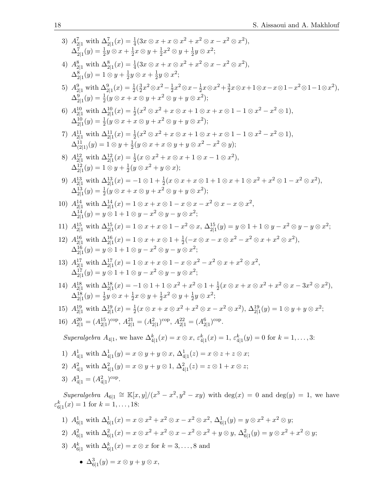3) 
$$
A_{2|1}^7(x) = \frac{1}{4}(3x \otimes x + x \otimes x^2 + x^2 \otimes x - x^2 \otimes x^2),
$$
  
\n
$$
\Delta_{2|1}^7(x) = \frac{1}{2}y \otimes x + \frac{1}{2}x \otimes y + \frac{1}{2}x \otimes y + \frac{1}{2}y \otimes x^2;
$$
  
\n4) 
$$
A_{2|1}^8(x) = \frac{1}{4}(3x \otimes x + x \otimes x^2 + x^2 \otimes x - x^2 \otimes x^2),
$$
  
\n
$$
\Delta_{2|1}^5(y) = 1 \otimes y + \frac{1}{2}y \otimes x + \frac{1}{2}y \otimes x^2;
$$
  
\n5) 
$$
A_{2|1}^9(x) = \frac{1}{2}(3x \otimes x + x \otimes x^2 + x^2 \otimes x - x^2 \otimes x^2),
$$
  
\n
$$
\Delta_{2|1}^9(y) = \frac{1}{2}(y \otimes x + x \otimes y + x^2 \otimes y + y \otimes x^2);
$$
  
\n6) 
$$
A_{2|1}^{10}(x) = \frac{1}{2}(x^2 \otimes x^2 - \frac{1}{2}x^2 \otimes x - \frac{1}{2}x \otimes x + 1 \otimes x - x \otimes 1 - x^2 \otimes 1 - 1 \otimes x^2),
$$
  
\n
$$
\Delta_{2|1}^{11}(y) = \frac{1}{2}(y \otimes x + x \otimes y + x^2 \otimes y + y \otimes x^2);
$$
  
\n7) 
$$
A_{2|1}^{11}(x) = \frac{1}{2}(y \otimes x + x \otimes y + x^2 \otimes x + 1 \otimes x + x \otimes 1 - 1 \otimes x^2 - x^2 \otimes 1),
$$
  
\n
$$
\Delta_{1|2|1}^{11}(y) = 1 \otimes y + \frac{1}{2}(y \otimes x^2 + x \otimes x + 1 \otimes x - 1 \otimes x^2),
$$
  
\n8) 
$$
A_{2|1}^{12}(y) = 1 \otimes y + \frac{1}{2}(y \otimes x^2 + x \otimes x + 1 \otimes x - 1
$$

1) 
$$
A_{6|1}^1
$$
 with  $\Delta_{6|1}^1(x) = x \otimes x^2 + x^2 \otimes x - x^2 \otimes x^2$ ,  $\Delta_{6|1}^1(y) = y \otimes x^2 + x^2 \otimes y$ ;  
\n2)  $A_{6|1}^2$  with  $\Delta_{6|1}^2(x) = x \otimes x^2 + x^2 \otimes x - x^2 \otimes x^2 + y \otimes y$ ,  $\Delta_{6|1}^2(y) = y \otimes x^2 + x^2 \otimes y$ ;  
\n3)  $A_{6|1}^k$  with  $\Delta_{6|1}^k(x) = x \otimes x$  for  $k = 3, ..., 8$  and  
\n•  $\Delta_{6|1}^3(y) = x \otimes y + y \otimes x$ ,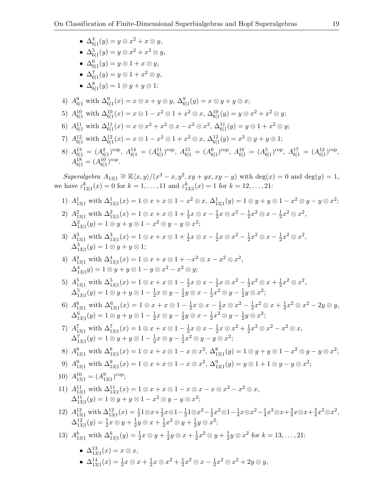• ∆<sup>4</sup> 6|1 (y) = y ⊗ x <sup>2</sup> + x ⊗ y, • ∆<sup>5</sup> 6|1 (y) = y ⊗ x <sup>2</sup> + x <sup>2</sup> ⊗ y, • ∆<sup>6</sup> 6|1 (y) = y ⊗ 1 + x ⊗ y, • ∆<sup>7</sup> 6|1 (y) = y ⊗ 1 + x <sup>2</sup> ⊗ y, • ∆<sup>8</sup> 6|1 (y) = 1 ⊗ y + y ⊗ 1; 4) A<sup>9</sup> <sup>6</sup>|<sup>1</sup> with ∆<sup>9</sup> 6|1 (x) = x ⊗ x + y ⊗ y, ∆<sup>9</sup> 6|1 (y) = x ⊗ y + y ⊗ x; 5) A<sup>10</sup> <sup>6</sup>|<sup>1</sup> with ∆<sup>10</sup> 6|1 (x) = x ⊗ 1 − x <sup>2</sup> ⊗ 1 + x <sup>2</sup> ⊗ x, ∆<sup>10</sup> 6|1 (y) = y ⊗ x <sup>2</sup> + x <sup>2</sup> ⊗ y; 6) A<sup>11</sup> <sup>6</sup>|<sup>1</sup> with ∆<sup>11</sup> 6|1 (x) = x ⊗ x <sup>2</sup> + x <sup>2</sup> ⊗ x − x <sup>2</sup> ⊗ x 2 , ∆<sup>11</sup> 6|1 (y) = y ⊗ 1 + x <sup>2</sup> ⊗ y; 7) A<sup>12</sup> <sup>6</sup>|<sup>1</sup> with ∆<sup>12</sup> 6|1 (x) = x ⊗ 1 − x <sup>2</sup> ⊗ 1 + x <sup>2</sup> ⊗ x, ∆<sup>12</sup> 6|1 (y) = x <sup>2</sup> ⊗ y + y ⊗ 1; 8) A<sup>13</sup> <sup>6</sup>|<sup>1</sup> = (A<sup>4</sup> 6|1 ) cop , A<sup>14</sup> <sup>6</sup>|<sup>1</sup> = (A<sup>11</sup> 6|1 ) cop , A<sup>15</sup> <sup>6</sup>|<sup>1</sup> = (A<sup>6</sup> 6|1 ) cop , A<sup>16</sup> <sup>6</sup>|<sup>1</sup> = (A<sup>5</sup> 6|1 ) cop , A<sup>17</sup> <sup>6</sup>|<sup>1</sup> = (A<sup>12</sup> 6|1 ) cop , A<sup>18</sup> <sup>6</sup>|<sup>1</sup> = (A<sup>10</sup> 6|1 ) cop . Superalgebra A13|<sup>1</sup> ∼= Khx, yi/(x <sup>3</sup> − x, y<sup>2</sup> , xy + yx, xy − y) with deg(x) = 0 and deg(y) = 1, we have ε k 13|1 (x) = 0 for k = 1, . . . , 11 and ε k 13|1 (x) = 1 for k = 12, . . . , 21: 1) A<sup>1</sup> <sup>13</sup>|<sup>1</sup> with ∆<sup>1</sup> 13|1 (x) = 1 ⊗ x + x ⊗ 1 − x <sup>2</sup> ⊗ x, ∆<sup>1</sup> 13|1 (y) = 1 ⊗ y + y ⊗ 1 − x <sup>2</sup> ⊗ y − y ⊗ x 2 ; 2) A<sup>2</sup> <sup>13</sup>|<sup>1</sup> with ∆<sup>2</sup> 13|1 (x) = 1 ⊗ x + x ⊗ 1 + <sup>1</sup> 2 x ⊗ x − 1 2 x ⊗ x <sup>2</sup> − 1 2 x <sup>2</sup> ⊗ x − 1 2 x <sup>2</sup> ⊗ x 2 , ∆<sup>2</sup> 13|1 (y) = 1 ⊗ y + y ⊗ 1 − x <sup>2</sup> ⊗ y − y ⊗ x 2 ; 3) A<sup>3</sup> <sup>13</sup>|<sup>1</sup> with ∆<sup>3</sup> 13|1 (x) = 1 ⊗ x + x ⊗ 1 + <sup>1</sup> 2 x ⊗ x − 1 2 x ⊗ x <sup>2</sup> − 1 2 x <sup>2</sup> ⊗ x − 1 2 x <sup>2</sup> ⊗ x 2 , ∆<sup>3</sup> 13|1 (y) = 1 ⊗ y + y ⊗ 1; 4) A<sup>4</sup> <sup>13</sup>|<sup>1</sup> with ∆<sup>4</sup> 13|1 (x) = 1 ⊗ x + x ⊗ 1 + −x <sup>2</sup> ⊗ x − x <sup>2</sup> ⊗ x 2 , ∆<sup>4</sup> 13|1 y) = 1 ⊗ y + y ⊗ 1 − y ⊗ x <sup>2</sup> − x <sup>2</sup> ⊗ y; 5) A<sup>5</sup> <sup>13</sup>|<sup>1</sup> with ∆<sup>5</sup> 13|1 (x) = 1 ⊗ x + x ⊗ 1 − 1 2 x ⊗ x − 1 2 x ⊗ x <sup>2</sup> − 1 2 x <sup>2</sup> ⊗ x + 1 2 x <sup>2</sup> ⊗ x 2 , ∆<sup>5</sup> 13|1 (y) = 1 ⊗ y + y ⊗ 1 − 1 2 x ⊗ y − 1 2 y ⊗ x − 1 2 x <sup>2</sup> ⊗ y − 1 2 y ⊗ x 2 ; 6) A<sup>6</sup> <sup>13</sup>|<sup>1</sup> with ∆<sup>6</sup> 13|1 (x) = 1 ⊗ x + x ⊗ 1 − 1 2 x ⊗ x − 1 2 x ⊗ x <sup>2</sup> − 1 2 x <sup>2</sup> ⊗ x + 1 2 x <sup>2</sup> ⊗ x <sup>2</sup> − 2y ⊗ y, ∆<sup>6</sup> 13|1 (y) = 1 ⊗ y + y ⊗ 1 − 1 2 x ⊗ y − 1 2 y ⊗ x − 1 2 x <sup>2</sup> ⊗ y − 1 2 y ⊗ x 2 ; 7) A<sup>7</sup> <sup>13</sup>|<sup>1</sup> with ∆<sup>7</sup> 13|1 (x) = 1 ⊗ x + x ⊗ 1 − 1 2 x ⊗ x − 1 2 x ⊗ x <sup>2</sup> + 1 2 x <sup>2</sup> ⊗ x <sup>2</sup> − x <sup>2</sup> ⊗ x, ∆<sup>7</sup> 13|1 (y) = 1 ⊗ y + y ⊗ 1 − 1 2 x ⊗ y − 1 2 x <sup>2</sup> ⊗ y − y ⊗ x 2 ; 8) A<sup>8</sup> <sup>13</sup>|<sup>1</sup> with ∆<sup>8</sup> 13|1 (x) = 1 ⊗ x + x ⊗ 1 − x ⊗ x 2 , ∆<sup>8</sup> 13|1 (y) = 1 ⊗ y + y ⊗ 1 − x <sup>2</sup> ⊗ y − y ⊗ x 2 ; 9) A<sup>9</sup> <sup>13</sup>|<sup>1</sup> with ∆<sup>9</sup> 13|1 (x) = 1 ⊗ x + x ⊗ 1 − x ⊗ x 2 , ∆<sup>9</sup> 13|1 (y) = y ⊗ 1 + 1 ⊗ y − y ⊗ x 2 ; 10) A<sup>10</sup> <sup>13</sup>|<sup>1</sup> = (A<sup>9</sup> 13|1 ) cop; 11) A<sup>11</sup> <sup>13</sup>|<sup>1</sup> with ∆<sup>11</sup> 13|1 (x) = 1 ⊗ x + x ⊗ 1 − x ⊗ x − x ⊗ x <sup>2</sup> − x <sup>2</sup> ⊗ x, ∆<sup>11</sup> 13|1 (y) = 1 ⊗ y + y ⊗ 1 − x <sup>2</sup> ⊗ y − y ⊗ x 2 ; 12) A<sup>12</sup> <sup>13</sup>|<sup>1</sup> with ∆<sup>12</sup> 13|1 (x) = <sup>1</sup> 2 1⊗x+ 1 2 x⊗1− 1 2 1⊗x <sup>2</sup>− 1 2 x <sup>2</sup>⊗1− 1 4 x⊗x <sup>2</sup>− 1 4 x <sup>2</sup>⊗x+ 3 4 x⊗x+ 3 4 x <sup>2</sup>⊗x 2 , ∆<sup>12</sup> 13|1 (y) = <sup>1</sup> 2 x ⊗ y + 1 2 y ⊗ x + 1 2 x <sup>2</sup> ⊗ y + 1 2 y ⊗ x 2 ; 13) A<sup>k</sup> <sup>13</sup>|<sup>1</sup> with ∆<sup>k</sup> 13|1 (y) = <sup>1</sup> 2 x ⊗ y + 1 2 y ⊗ x + 1 2 x <sup>2</sup> ⊗ y + 1 2 y ⊗ x 2 for k = 13, . . . , 21: • ∆<sup>13</sup> 13|1 (x) = x ⊗ x, • ∆<sup>14</sup> 13|1 (x) = <sup>1</sup> 2 x ⊗ x + 1 2 x ⊗ x <sup>2</sup> + 1 2 x <sup>2</sup> ⊗ x − 1 2 x <sup>2</sup> ⊗ x <sup>2</sup> + 2y ⊗ y,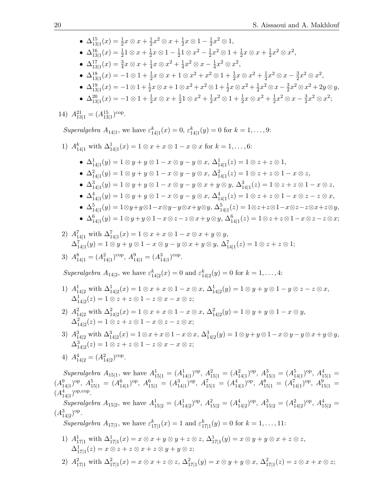•  $\Delta^{15}_{13|1}(x) = \frac{1}{2}x \otimes x + \frac{1}{2}$  $\frac{1}{2}x^2 \otimes x + \frac{1}{2}$  $\frac{1}{2}x\otimes 1-\frac{1}{2}$  $\frac{1}{2}x^2 \otimes 1,$ 

- $\blacklozenge \ \Delta^{16}_{13|1}(x) = \frac{1}{2} 1 \otimes x + \frac{1}{2}$  $\frac{1}{2}x\otimes 1-\frac{1}{2}$  $\frac{1}{2}$ 1 ⊗  $x^2 - \frac{1}{2}$  $\frac{1}{2}x^2 \otimes 1 + \frac{1}{2}x \otimes x + \frac{1}{2}$  $\frac{1}{2}x^2 \otimes x^2$ ,
- $\Delta^{17}_{13|1}(x) = \frac{3}{4}x \otimes x + \frac{1}{4}$  $\frac{1}{4}x\otimes x^2 + \frac{1}{4}$  $\frac{1}{4}x^2 \otimes x - \frac{1}{4}$  $\frac{1}{4}x^2 \otimes x^2$ ,
- $\Delta^{18}_{13|1}(x) = -1 \otimes 1 + \frac{1}{2}x \otimes x + 1 \otimes x^2 + x^2 \otimes 1 + \frac{1}{2}x \otimes x^2 + \frac{1}{2}$  $\frac{1}{2}x^2 \otimes x - \frac{3}{2}$  $\frac{3}{2}x^2 \otimes x^2$ ,
- $\Delta^{19}_{13|1}(x) = -1 \otimes 1 + \frac{1}{2}x \otimes x + 1 \otimes x^2 + x^2 \otimes 1 + \frac{1}{2}x \otimes x^2 + \frac{1}{2}$  $\frac{1}{2}x^2 \otimes x - \frac{3}{2}$  $\frac{3}{2}x^2 \otimes x^2 + 2y \otimes y,$
- $\bullet$   $\Delta^{20}_{13|1}(x) = -1 \otimes 1 + \frac{1}{2}x \otimes x + \frac{1}{2}$  $\frac{1}{2}$ 1  $\otimes$   $x^2 + \frac{1}{2}$  $\frac{1}{2}x^2 \otimes 1 + \frac{1}{2}x \otimes x^2 + \frac{1}{2}$  $\frac{1}{2}x^2 \otimes x - \frac{3}{2}$  $\frac{3}{2}x^2 \otimes x^2;$

14)  $A_{13|1}^{21} = (A_{13|1}^{15})^{\text{cop}}$ .

Superalgebra  $A_{14|1}$ , we have  $\varepsilon_{14|1}^k(x) = 0$ ,  $\varepsilon_{14|1}^k(y) = 0$  for  $k = 1, ..., 9$ :

- 1)  $A_{14|1}^k$  with  $\Delta_{14|1}^1(x) = 1 \otimes x + x \otimes 1 x \otimes x$  for  $k = 1, ..., 6$ :
	- $\Delta^1_{14|1}(y) = 1 \otimes y + y \otimes 1 x \otimes y y \otimes x, \, \Delta^1_{14|1}(z) = 1 \otimes z + z \otimes 1,$
	- $\Delta_{14|1}^2(y) = 1 \otimes y + y \otimes 1 x \otimes y y \otimes x, \, \Delta_{14|1}^2(z) = 1 \otimes z + z \otimes 1 x \otimes z,$
	- $\Delta_{14|1}^3(y) = 1 \otimes y + y \otimes 1 x \otimes y y \otimes x + y \otimes y$ ,  $\Delta_{14|1}^3(z) = 1 \otimes z + z \otimes 1 x \otimes z$ ,
	- $\blacklozenge \ \Delta_{14|1}^4(y) = 1 \otimes y + y \otimes 1 x \otimes y y \otimes x, \, \Delta_{14|1}^4(z) = 1 \otimes z + z \otimes 1 x \otimes z z \otimes x,$
	- $\Delta^5_{14|1}(y) = 1 \otimes y + y \otimes 1 x \otimes y y \otimes x + y \otimes y$ ,  $\Delta^5_{14|1}(z) = 1 \otimes z + z \otimes 1 x \otimes z z \otimes x + z \otimes y$ ,

• 
$$
\Delta_{14|1}^6(y) = 1 \otimes y + y \otimes 1 - x \otimes z - z \otimes x + y \otimes y, \ \Delta_{14|1}^6(z) = 1 \otimes z + z \otimes 1 - x \otimes z - z \otimes x;
$$

2)  $A_{14|1}^7$  with  $\Delta_{14|1}^7(x) = 1 \otimes x + x \otimes 1 - x \otimes x + y \otimes y$ ,  $\Delta^7_{14|1}(y) = 1 \otimes y + y \otimes 1 - x \otimes y - y \otimes x + y \otimes y, \ \Delta^7_{14|1}(z) = 1 \otimes z + z \otimes 1;$ 

.

3) 
$$
A_{14|1}^8 = (A_{14|1}^2)^{\text{cop}}, A_{14|1}^9 = (A_{14|1}^3)^{\text{cop}}
$$

Superalgebra  $A_{14|2}$ , we have  $\varepsilon_{14|2}^k(x) = 0$  and  $\varepsilon_{14|2}^k(y) = 0$  for  $k = 1, ..., 4$ :

- 1)  $A_{14|2}^1$  with  $\Delta_{14|2}^1(x) = 1 \otimes x + x \otimes 1 x \otimes x$ ,  $\Delta_{14|2}^1(y) = 1 \otimes y + y \otimes 1 y \otimes z z \otimes x$ ,  $\Delta^1_{14|2}(z) = 1 \otimes z + z \otimes 1 - z \otimes x - x \otimes z;$
- 2)  $A_{14|2}^2$  with  $\Delta_{14|2}^2(x) = 1 \otimes x + x \otimes 1 x \otimes x$ ,  $\Delta_{14|2}^2(y) = 1 \otimes y + y \otimes 1 x \otimes y$ ,  $\Delta^2_{14|2}(z) = 1 \otimes z + z \otimes 1 - x \otimes z - z \otimes x;$
- 3)  $A_{14|2}^3$  with  $\Delta_{14|2}^3(x) = 1 \otimes x + x \otimes 1 x \otimes x$ ,  $\Delta_{14|2}^3(y) = 1 \otimes y + y \otimes 1 x \otimes y y \otimes x + y \otimes y$ ,  $\Delta^3_{14|2}(z) = 1 \otimes z + z \otimes 1 - z \otimes x - x \otimes z;$
- 4)  $A_{14|2}^4 = (A_{14|2}^2)^{\text{cop}}$ .

Superalgebra  $A_{15|1}$ , we have  $A_{15|1}^1 = (A_{14|1}^1)^{op}$ ,  $A_{15|1}^2 = (A_{14|1}^2)^{op}$ ,  $A_{15|1}^3 = (A_{14|1}^5)^{op}$ ,  $A_{15|1}^4 =$  $(A_{14|1}^9)^{\text{op}}, A_{15|1}^5 = (A_{14|1}^6)^{\text{op}}, A_{15|1}^6 = (A_{14|1}^3)^{\text{op}}, A_{15|1}^7 = (A_{14|1}^4)^{\text{op}}, A_{15|1}^8 = (A_{14|1}^7)^{\text{op}}, A_{15|1}^9 =$  $(A_{14|1}^4)^{\text{op,cop}}$ .

Superalgebra  $A_{15|2}$ , we have  $A_{15|2}^1 = (A_{14|2}^1)^{op}$ ,  $A_{15|2}^2 = (A_{14|2}^4)^{op}$ ,  $A_{15|2}^3 = (A_{14|2}^2)^{op}$ ,  $A_{15|2}^4 =$  $(A_{14|2}^3)^{\text{op}}.$ 

Superalgebra  $A_{17|1}$ , we have  $\varepsilon_{17|1}^k(x) = 1$  and  $\varepsilon_{17|1}^k(y) = 0$  for  $k = 1, \ldots, 11$ :

- 1)  $A^1_{17|1}$  with  $\Delta^1_{17|1}(x) = x \otimes x + y \otimes y + z \otimes z$ ,  $\Delta^1_{17|1}(y) = x \otimes y + y \otimes x + z \otimes z$ ,  $\Delta^1_{17|1}(z) = x \otimes z + z \otimes x + z \otimes y + y \otimes z;$
- 2)  $A_{17|1}^2$  with  $\Delta_{17|1}^2(x) = x \otimes x + z \otimes z$ ,  $\Delta_{17|1}^2(y) = x \otimes y + y \otimes x$ ,  $\Delta_{17|1}^2(z) = z \otimes x + x \otimes z$ ;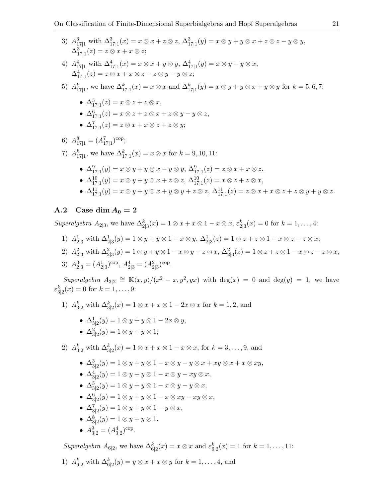- 3)  $A_{17|1}^3$  with  $\Delta_{17|1}^3(x) = x \otimes x + z \otimes z$ ,  $\Delta_{17|1}^3(y) = x \otimes y + y \otimes x + z \otimes z y \otimes y$ ,  $\Delta^3_{17|1}(z) = z \otimes x + x \otimes z;$
- 4)  $A_{17|1}^4$  with  $\Delta_{17|1}^4(x) = x \otimes x + y \otimes y$ ,  $\Delta_{17|1}^4(y) = x \otimes y + y \otimes x$ ,  $\Delta^4_{17|1}(z) = z \otimes x + x \otimes z - z \otimes y - y \otimes z;$
- 5)  $A_{17|1}^k$ , we have  $\Delta_{17|1}^k(x) = x \otimes x$  and  $\Delta_{17|1}^k(y) = x \otimes y + y \otimes x + y \otimes y$  for  $k = 5, 6, 7$ :
	- $\Delta^5_{17|1}(z) = x \otimes z + z \otimes x,$
	- $\Delta_{17|1}^6(z) = x \otimes z + z \otimes x + z \otimes y y \otimes z,$
	- $\Delta_{17|1}^7(z) = z \otimes x + x \otimes z + z \otimes y;$
- 6)  $A_{17|1}^8 = (A_{17|1}^7)^{\text{cop}};$ 7)  $A_{17|1}^k$ , we have  $\Delta_{17|1}^k(x) = x \otimes x$  for  $k = 9, 10, 11$ : •  $\Delta^9_{17|1}(y) = x \otimes y + y \otimes x - y \otimes y, \, \Delta^9_{17|1}(z) = z \otimes x + x \otimes z,$ •  $\Delta^{10}_{17|1}(y) = x \otimes y + y \otimes x + z \otimes z$ ,  $\Delta^{10}_{17|1}(z) = x \otimes z + z \otimes x$ , •  $\Delta^{11}_{17|1}(y) = x \otimes y + y \otimes x + y \otimes y + z \otimes z$ ,  $\Delta^{11}_{17|1}(z) = z \otimes x + x \otimes z + z \otimes y + y \otimes z$ .

#### <span id="page-20-0"></span>A.2 Case dim  $A_0 = 2$

Superalgebra  $A_{2|3}$ , we have  $\Delta_{2|3}^k(x) = 1 \otimes x + x \otimes 1 - x \otimes x$ ,  $\varepsilon_{2|3}^k(x) = 0$  for  $k = 1, ..., 4$ :

- 1)  $A_{2|3}^1$  with  $\Delta_{2|3}^1(y) = 1 \otimes y + y \otimes 1 x \otimes y$ ,  $\Delta_{2|3}^1(z) = 1 \otimes z + z \otimes 1 x \otimes z z \otimes x$ ;
- 2)  $A_{2|3}^2$  with  $\Delta_{2|3}^2(y) = 1 \otimes y + y \otimes 1 x \otimes y + z \otimes x$ ,  $\Delta_{2|3}^2(z) = 1 \otimes z + z \otimes 1 x \otimes z z \otimes x$ ;

3) 
$$
A_{2|3}^3 = (A_{2|3}^1)^{\text{cop}}, A_{2|3}^4 = (A_{2|3}^2)^{\text{cop}}.
$$

Superalgebra  $A_{3|2} \cong \mathbb{K}\langle x,y\rangle/(x^2-x,y^2,yx)$  with  $\deg(x) = 0$  and  $\deg(y) = 1$ , we have  $\varepsilon_{3|2}^k(x) = 0$  for  $k = 1, ..., 9$ :

- 1)  $A_{3|2}^k$  with  $\Delta_{3|2}^k(x) = 1 \otimes x + x \otimes 1 2x \otimes x$  for  $k = 1, 2$ , and
	- $\Delta_{3|2}^1(y) = 1 \otimes y + y \otimes 1 2x \otimes y,$
	- $\Delta_{3|2}^2(y) = 1 \otimes y + y \otimes 1;$

2)  $A_{3|2}^k$  with  $\Delta_{3|2}^k(x) = 1 \otimes x + x \otimes 1 - x \otimes x$ , for  $k = 3, ..., 9$ , and

- $\Delta_{3|2}^3(y) = 1 \otimes y + y \otimes 1 x \otimes y y \otimes x + xy \otimes x + x \otimes xy,$
- $\Delta_{3|2}^4(y) = 1 \otimes y + y \otimes 1 x \otimes y xy \otimes x$ ,
- $\Delta_{3|2}^5(y) = 1 \otimes y + y \otimes 1 x \otimes y y \otimes x$ ,
- $\Delta_{3|2}^6(y) = 1 \otimes y + y \otimes 1 x \otimes xy xy \otimes x$ ,
- $\Delta_{3|2}^7(y) = 1 \otimes y + y \otimes 1 y \otimes x$ ,
- $\Delta_{3|2}^8(y) = 1 \otimes y + y \otimes 1,$
- $A_{3|2}^9 = (A_{3|2}^4)^{\text{cop}}$ .

Superalgebra  $A_{6|2}$ , we have  $\Delta_{6|2}^k(x) = x \otimes x$  and  $\varepsilon_{6|2}^k(x) = 1$  for  $k = 1, ..., 11$ :

1)  $A_{6|2}^k$  with  $\Delta_{6|2}^k(y) = y \otimes x + x \otimes y$  for  $k = 1, ..., 4$ , and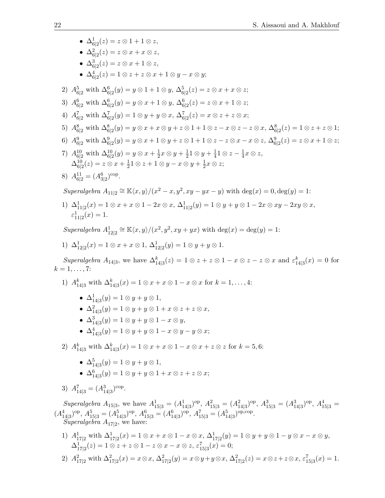•  $\Delta^1_{6|2}(z) = z \otimes 1 + 1 \otimes z,$ •  $\Delta^2_{6|2}(z) = z \otimes x + x \otimes z,$ •  $\Delta_{6|2}^3(z) = z \otimes x + 1 \otimes z,$ •  $\Delta_{6|2}^4(z) = 1 \otimes z + z \otimes x + 1 \otimes y - x \otimes y;$ 2)  $A_{6|2}^5$  with  $\Delta_{6|2}^6(y) = y \otimes 1 + 1 \otimes y$ ,  $\Delta_{6|2}^5(z) = z \otimes x + x \otimes z$ ; 3)  $A_{6|2}^6$  with  $\Delta_{6|2}^6(y) = y \otimes x + 1 \otimes y$ ,  $\Delta_{6|2}^6(z) = z \otimes x + 1 \otimes z$ ; 4)  $A_{6|2}^7$  with  $\Delta_{6|2}^7(y) = 1 \otimes y + y \otimes x$ ,  $\Delta_{6|2}^7(z) = x \otimes z + z \otimes x$ ; 5)  $A_{6|2}^8$  with  $\Delta_{6|2}^8(y) = y \otimes x + x \otimes y + z \otimes 1 + 1 \otimes z - x \otimes z - z \otimes x$ ,  $\Delta_{6|2}^8(z) = 1 \otimes z + z \otimes 1$ ; 6)  $A_{6|2}^9$  with  $\Delta_{6|2}^9(y) = y \otimes x + 1 \otimes y + z \otimes 1 + 1 \otimes z - z \otimes x - x \otimes z$ ,  $\Delta_{6|2}^9(z) = z \otimes x + 1 \otimes z$ ; 7)  $A_{6|2}^{10}$  with  $\Delta_{6|2}^{10}(y) = y \otimes x + \frac{1}{2}$  $\frac{1}{2}x\otimes y+\frac{1}{2}$  $\frac{1}{2}1 \otimes y + \frac{1}{4}$  $\frac{1}{4}$ 1 ⊗  $z-\frac{1}{4}$  $rac{1}{4}x\otimes z,$  $\Delta^{10}_{6|2}(z) = z \otimes x + \frac{1}{2}$  $\frac{1}{2}$ 1 ⊗ z + 1 ⊗ y − x ⊗ y +  $\frac{1}{2}$  $\frac{1}{2}x\otimes z;$ 8)  $A_{6|2}^{11} = (A_{3|2}^6)^{\text{cop}}$ . Superalgebra  $A_{11|2} \cong \mathbb{K}\langle x,y\rangle/(x^2-x,y^2,xy-yx-y)$  with  $\deg(x) = 0, \deg(y) = 1$ : 1)  $\Delta^1_{11|2}(x) = 1 \otimes x + x \otimes 1 - 2x \otimes x$ ,  $\Delta^1_{11|2}(y) = 1 \otimes y + y \otimes 1 - 2x \otimes xy - 2xy \otimes x$ ,  $\varepsilon_{11|2}^1(x) = 1.$ Superalgebra  $A_{12|2}^1 \cong \mathbb{K}\langle x,y\rangle/(x^2,y^2,xy+yx)$  with  $\deg(x) = \deg(y) = 1$ : 1)  $\Delta^1_{12|2}(x) = 1 \otimes x + x \otimes 1$ ,  $\Delta^1_{12|2}(y) = 1 \otimes y + y \otimes 1$ . Superalgebra  $A_{14|3}$ , we have  $\Delta_{14|3}^k(z) = 1 \otimes z + z \otimes 1 - x \otimes z - z \otimes x$  and  $\varepsilon_{14|3}^k(x) = 0$  for  $k = 1, \ldots, 7$ :

- 1)  $A_{14|3}^k$  with  $\Delta_{14|3}^k(x) = 1 \otimes x + x \otimes 1 x \otimes x$  for  $k = 1, ..., 4$ :
	- $\Delta^1_{14|3}(y) = 1 \otimes y + y \otimes 1,$
	- $\Delta^2_{14|3}(y) = 1 \otimes y + y \otimes 1 + x \otimes z + z \otimes x,$
	- $\Delta^3_{14|3}(y) = 1 \otimes y + y \otimes 1 x \otimes y,$
	- $\Delta^4_{14|3}(y) = 1 \otimes y + y \otimes 1 x \otimes y y \otimes x;$
- 2)  $A_{14|3}^k$  with  $\Delta_{14|3}^k(x) = 1 \otimes x + x \otimes 1 x \otimes x + z \otimes z$  for  $k = 5, 6$ :
	- $\Delta^5_{14|3}(y) = 1 \otimes y + y \otimes 1,$
	- $\Delta_{14|3}^6(y) = 1 \otimes y + y \otimes 1 + x \otimes z + z \otimes x;$
- 3)  $A_{14|3}^7 = (A_{14|3}^3)^{\text{cop}}$ .

Superalgebra  $A_{15|3}$ , we have  $A_{15|3}^1 = (A_{14|3}^1)^{op}$ ,  $A_{15|3}^2 = (A_{14|3}^2)^{op}$ ,  $A_{15|3}^3 = (A_{14|3}^3)^{op}$ ,  $A_{15|3}^4 =$  $(A_{14|3}^4)^{\text{op}}, A_{15|3}^5 = (A_{14|3}^5)^{\text{op}}, A_{15|3}^6 = (A_{14|3}^6)^{\text{op}}, A_{15|3}^7 = (A_{14|3}^5)^{\text{op}, \text{cop}}.$ 

Superalgebra  $A_{17|2}$ , we have:

- 1)  $A^1_{17|2}$  with  $\Delta^1_{17|2}(x) = 1 \otimes x + x \otimes 1 x \otimes x$ ,  $\Delta^1_{17|2}(y) = 1 \otimes y + y \otimes 1 y \otimes x x \otimes y$ ,  $\Delta^1_{17|2}(z) = 1 \otimes z + z \otimes 1 - z \otimes x - x \otimes z, \, \varepsilon^7_{15|3}(x) = 0;$
- 2)  $A_{17|2}^2$  with  $\Delta_{17|2}^2(x) = x \otimes x, \ \Delta_{17|2}^2(y) = x \otimes y + y \otimes x, \ \Delta_{17|2}^2(z) = x \otimes z + z \otimes x, \ \varepsilon_{15|3}^7(x) = 1.$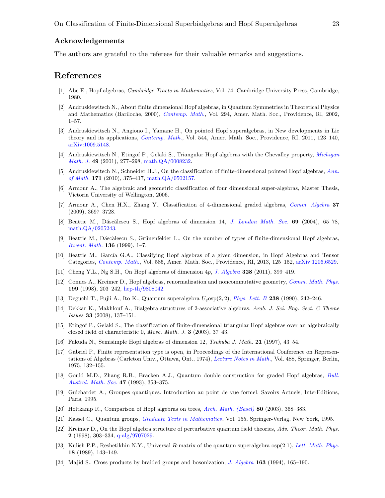#### Acknowledgements

The authors are grateful to the referees for their valuable remarks and suggestions.

### References

- <span id="page-22-12"></span>[1] Abe E., Hopf algebras, Cambridge Tracts in Mathematics, Vol. 74, Cambridge University Press, Cambridge, 1980.
- <span id="page-22-6"></span>[2] Andruskiewitsch N., About finite dimensional Hopf algebras, in Quantum Symmetries in Theoretical Physics and Mathematics (Bariloche, 2000), [Contemp. Math.](http://dx.doi.org/10.1090/conm/294/04969), Vol. 294, Amer. Math. Soc., Providence, RI, 2002, 1–57.
- <span id="page-22-1"></span>[3] Andruskiewitsch N., Angiono I., Yamane H., On pointed Hopf superalgebras, in New developments in Lie theory and its applications, [Contemp. Math.](http://dx.doi.org/10.1090/conm/544/10752), Vol. 544, Amer. Math. Soc., Providence, RI, 2011, 123–140, [arXiv:1009.5148.](http://arxiv.org/abs/1009.5148)
- <span id="page-22-2"></span>[4] Andruskiewitsch N., Etingof P., Gelaki S., Triangular Hopf algebras with the Chevalley property, [Michigan](http://dx.doi.org/10.1307/mmj/1008719774) [Math. J.](http://dx.doi.org/10.1307/mmj/1008719774) 49 (2001), 277–298, [math.QA/0008232.](http://arxiv.org/abs/math.QA/0008232)
- <span id="page-22-7"></span>[5] Andruskiewitsch N., Schneider H.J., On the classification of finite-dimensional pointed Hopf algebras, [Ann.](http://dx.doi.org/10.4007/annals.2010.171.375) [of Math.](http://dx.doi.org/10.4007/annals.2010.171.375) 171 (2010), 375–417, math. $QA/0502157$ .
- <span id="page-22-21"></span>[6] Armour A., The algebraic and geometric classification of four dimensional super-algebras, Master Thesis, Victoria University of Wellington, 2006.
- <span id="page-22-18"></span>[7] Armour A., Chen H.X., Zhang Y., Classification of 4-dimensional graded algebras, [Comm. Algebra](http://dx.doi.org/10.1080/00927870802467304) 37 (2009), 3697–3728.
- <span id="page-22-22"></span>[8] Beattie M., Dăscălescu S., Hopf algebras of dimension 14, [J. London Math. Soc.](http://dx.doi.org/10.1112/S0024610703004927) 69 (2004), 65–78, [math.QA/0205243.](http://arxiv.org/abs/math.QA/0205243)
- <span id="page-22-8"></span>[9] Beattie M., Dăscălescu S., Grünenfelder L., On the number of types of finite-dimensional Hopf algebras, [Invent. Math.](http://dx.doi.org/10.1007/s002220050302) 136 (1999), 1–7.
- <span id="page-22-9"></span>[10] Beattie M., García G.A., Classifying Hopf algebras of a given dimension, in Hopf Algebras and Tensor Categories, [Contemp. Math.](http://dx.doi.org/10.1090/conm/585/11615), Vol. 585, Amer. Math. Soc., Providence, RI, 2013, 125–152, [arXiv:1206.6529.](http://arxiv.org/abs/1206.6529)
- <span id="page-22-23"></span>[11] Cheng Y.L., Ng S.H., On Hopf algebras of dimension 4p, [J. Algebra](http://dx.doi.org/10.1016/j.jalgebra.2010.08.029) 328 (2011), 399–419.
- <span id="page-22-15"></span>[12] Connes A., Kreimer D., Hopf algebras, renormalization and noncommutative geometry, [Comm. Math. Phys.](http://dx.doi.org/10.1007/s002200050499) 199 (1998), 203–242, [hep-th/9808042.](http://arxiv.org/abs/hep-th/9808042)
- <span id="page-22-4"></span>[13] Deguchi T., Fujii A., Ito K., Quantum superalgebra  $U_q$ osp $(2, 2)$ , [Phys. Lett. B](http://dx.doi.org/10.1016/0370-2693(90)91729-U) 238 (1990), 242–246.
- <span id="page-22-19"></span>[14] Dekkar K., Makhlouf A., Bialgebra structures of 2-associative algebras, Arab. J. Sci. Eng. Sect. C Theme Issues 33 (2008), 137–151.
- <span id="page-22-10"></span>[15] Etingof P., Gelaki S., The classification of finite-dimensional triangular Hopf algebras over an algebraically closed field of characteristic 0, Mosc. Math. J. 3 (2003), 37–43.
- <span id="page-22-11"></span>[16] Fukuda N., Semisimple Hopf algebras of dimension 12, Tsukuba J. Math. 21 (1997), 43–54.
- <span id="page-22-20"></span>[17] Gabriel P., Finite representation type is open, in Proceedings of the International Conference on Representations of Algebras (Carleton Univ., Ottawa, Ont., 1974), [Lecture Notes in Math.](http://dx.doi.org/10.1007/BFb0081219), Vol. 488, Springer, Berlin, 1975, 132–155.
- <span id="page-22-3"></span>[18] Gould M.D., Zhang R.B., Bracken A.J., Quantum double construction for graded Hopf algebras, [Bull.](http://dx.doi.org/10.1017/S0004972700015197) [Austral. Math. Soc.](http://dx.doi.org/10.1017/S0004972700015197) 47 (1993), 353–375.
- <span id="page-22-13"></span>[19] Guichardet A., Groupes quantiques. Introduction au point de vue formel, Savoirs Actuels, InterEditions, Paris, 1995.
- <span id="page-22-16"></span>[20] Holtkamp R., Comparison of Hopf algebras on trees, [Arch. Math. \(Basel\)](http://dx.doi.org/10.1007/s00013-003-0796-y) 80 (2003), 368–383.
- <span id="page-22-14"></span>[21] Kassel C., Quantum groups, [Graduate Texts in Mathematics](http://dx.doi.org/10.1007/978-1-4612-0783-2), Vol. 155, Springer-Verlag, New York, 1995.
- <span id="page-22-17"></span>[22] Kreimer D., On the Hopf algebra structure of perturbative quantum field theories, Adv. Theor. Math. Phys. **2** (1998), 303–334, [q-alg/9707029.](http://arxiv.org/abs/q-alg/9707029)
- <span id="page-22-5"></span>[23] Kulish P.P., Reshetikhin N.Y., Universal R-matrix of the quantum superalgebra osp(2|1), [Lett. Math. Phys.](http://dx.doi.org/10.1007/BF00401868) 18 (1989), 143–149.
- <span id="page-22-0"></span>[24] Majid S., Cross products by braided groups and bosonization, [J. Algebra](http://dx.doi.org/10.1006/jabr.1994.1011) 163 (1994), 165–190.